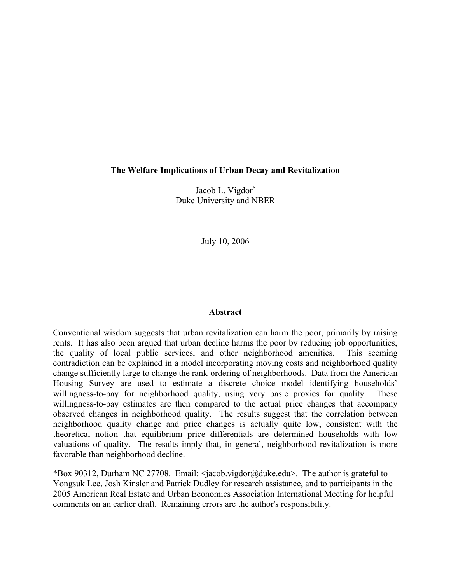# **The Welfare Implications of Urban Decay and Revitalization**

Jacob L. Vigdor[\\*](#page-0-0) Duke University and NBER

July 10, 2006

## **Abstract**

Conventional wisdom suggests that urban revitalization can harm the poor, primarily by raising rents. It has also been argued that urban decline harms the poor by reducing job opportunities, the quality of local public services, and other neighborhood amenities. This seeming contradiction can be explained in a model incorporating moving costs and neighborhood quality change sufficiently large to change the rank-ordering of neighborhoods. Data from the American Housing Survey are used to estimate a discrete choice model identifying households' willingness-to-pay for neighborhood quality, using very basic proxies for quality. These willingness-to-pay estimates are then compared to the actual price changes that accompany observed changes in neighborhood quality. The results suggest that the correlation between neighborhood quality change and price changes is actually quite low, consistent with the theoretical notion that equilibrium price differentials are determined households with low valuations of quality. The results imply that, in general, neighborhood revitalization is more favorable than neighborhood decline.

<span id="page-0-0"></span><sup>\*</sup>Box 90312, Durham NC 27708. Email: <jacob.vigdor@duke.edu>. The author is grateful to Yongsuk Lee, Josh Kinsler and Patrick Dudley for research assistance, and to participants in the 2005 American Real Estate and Urban Economics Association International Meeting for helpful comments on an earlier draft. Remaining errors are the author's responsibility.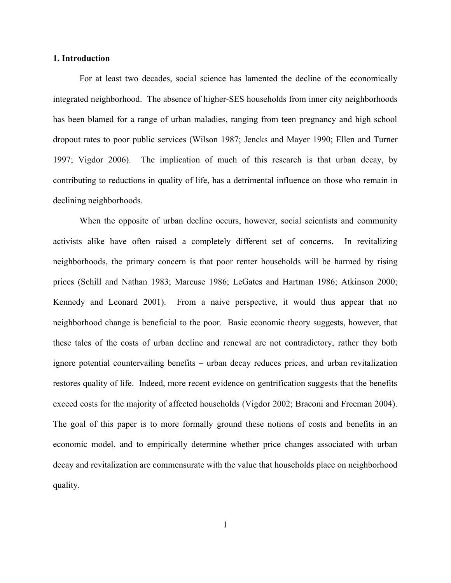### **1. Introduction**

For at least two decades, social science has lamented the decline of the economically integrated neighborhood. The absence of higher-SES households from inner city neighborhoods has been blamed for a range of urban maladies, ranging from teen pregnancy and high school dropout rates to poor public services (Wilson 1987; Jencks and Mayer 1990; Ellen and Turner 1997; Vigdor 2006). The implication of much of this research is that urban decay, by contributing to reductions in quality of life, has a detrimental influence on those who remain in declining neighborhoods.

When the opposite of urban decline occurs, however, social scientists and community activists alike have often raised a completely different set of concerns. In revitalizing neighborhoods, the primary concern is that poor renter households will be harmed by rising prices (Schill and Nathan 1983; Marcuse 1986; LeGates and Hartman 1986; Atkinson 2000; Kennedy and Leonard 2001). From a naive perspective, it would thus appear that no neighborhood change is beneficial to the poor. Basic economic theory suggests, however, that these tales of the costs of urban decline and renewal are not contradictory, rather they both ignore potential countervailing benefits – urban decay reduces prices, and urban revitalization restores quality of life. Indeed, more recent evidence on gentrification suggests that the benefits exceed costs for the majority of affected households (Vigdor 2002; Braconi and Freeman 2004). The goal of this paper is to more formally ground these notions of costs and benefits in an economic model, and to empirically determine whether price changes associated with urban decay and revitalization are commensurate with the value that households place on neighborhood quality.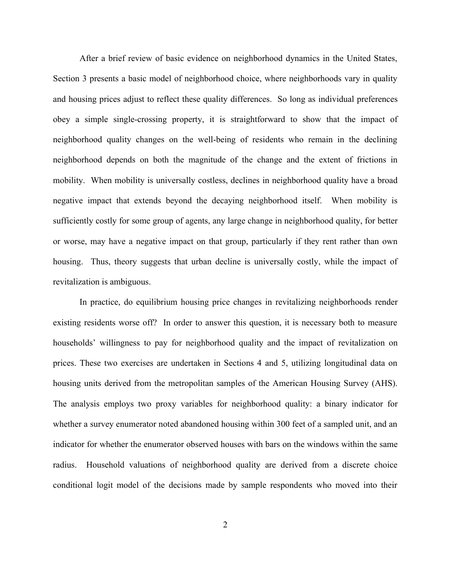After a brief review of basic evidence on neighborhood dynamics in the United States, Section 3 presents a basic model of neighborhood choice, where neighborhoods vary in quality and housing prices adjust to reflect these quality differences. So long as individual preferences obey a simple single-crossing property, it is straightforward to show that the impact of neighborhood quality changes on the well-being of residents who remain in the declining neighborhood depends on both the magnitude of the change and the extent of frictions in mobility. When mobility is universally costless, declines in neighborhood quality have a broad negative impact that extends beyond the decaying neighborhood itself. When mobility is sufficiently costly for some group of agents, any large change in neighborhood quality, for better or worse, may have a negative impact on that group, particularly if they rent rather than own housing. Thus, theory suggests that urban decline is universally costly, while the impact of revitalization is ambiguous.

In practice, do equilibrium housing price changes in revitalizing neighborhoods render existing residents worse off? In order to answer this question, it is necessary both to measure households' willingness to pay for neighborhood quality and the impact of revitalization on prices. These two exercises are undertaken in Sections 4 and 5, utilizing longitudinal data on housing units derived from the metropolitan samples of the American Housing Survey (AHS). The analysis employs two proxy variables for neighborhood quality: a binary indicator for whether a survey enumerator noted abandoned housing within 300 feet of a sampled unit, and an indicator for whether the enumerator observed houses with bars on the windows within the same radius. Household valuations of neighborhood quality are derived from a discrete choice conditional logit model of the decisions made by sample respondents who moved into their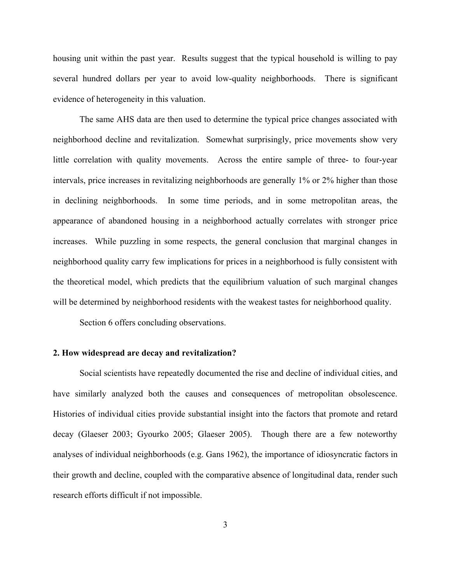housing unit within the past year. Results suggest that the typical household is willing to pay several hundred dollars per year to avoid low-quality neighborhoods. There is significant evidence of heterogeneity in this valuation.

The same AHS data are then used to determine the typical price changes associated with neighborhood decline and revitalization. Somewhat surprisingly, price movements show very little correlation with quality movements. Across the entire sample of three- to four-year intervals, price increases in revitalizing neighborhoods are generally 1% or 2% higher than those in declining neighborhoods. In some time periods, and in some metropolitan areas, the appearance of abandoned housing in a neighborhood actually correlates with stronger price increases. While puzzling in some respects, the general conclusion that marginal changes in neighborhood quality carry few implications for prices in a neighborhood is fully consistent with the theoretical model, which predicts that the equilibrium valuation of such marginal changes will be determined by neighborhood residents with the weakest tastes for neighborhood quality.

Section 6 offers concluding observations.

## **2. How widespread are decay and revitalization?**

Social scientists have repeatedly documented the rise and decline of individual cities, and have similarly analyzed both the causes and consequences of metropolitan obsolescence. Histories of individual cities provide substantial insight into the factors that promote and retard decay (Glaeser 2003; Gyourko 2005; Glaeser 2005). Though there are a few noteworthy analyses of individual neighborhoods (e.g. Gans 1962), the importance of idiosyncratic factors in their growth and decline, coupled with the comparative absence of longitudinal data, render such research efforts difficult if not impossible.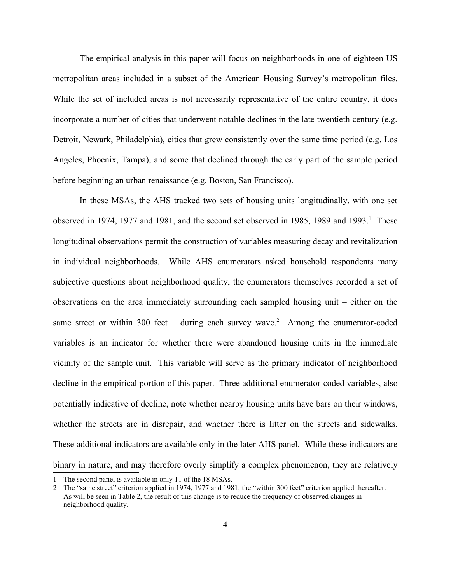The empirical analysis in this paper will focus on neighborhoods in one of eighteen US metropolitan areas included in a subset of the American Housing Survey's metropolitan files. While the set of included areas is not necessarily representative of the entire country, it does incorporate a number of cities that underwent notable declines in the late twentieth century (e.g. Detroit, Newark, Philadelphia), cities that grew consistently over the same time period (e.g. Los Angeles, Phoenix, Tampa), and some that declined through the early part of the sample period before beginning an urban renaissance (e.g. Boston, San Francisco).

In these MSAs, the AHS tracked two sets of housing units longitudinally, with one set observed in [1](#page-4-0)974, 1977 and 1981, and the second set observed in 1985, 1989 and 1993.<sup>1</sup> These longitudinal observations permit the construction of variables measuring decay and revitalization in individual neighborhoods. While AHS enumerators asked household respondents many subjective questions about neighborhood quality, the enumerators themselves recorded a set of observations on the area immediately surrounding each sampled housing unit – either on the same street or within 300 feet – during each survey wave.<sup>[2](#page-4-1)</sup> Among the enumerator-coded variables is an indicator for whether there were abandoned housing units in the immediate vicinity of the sample unit. This variable will serve as the primary indicator of neighborhood decline in the empirical portion of this paper. Three additional enumerator-coded variables, also potentially indicative of decline, note whether nearby housing units have bars on their windows, whether the streets are in disrepair, and whether there is litter on the streets and sidewalks. These additional indicators are available only in the later AHS panel. While these indicators are binary in nature, and may therefore overly simplify a complex phenomenon, they are relatively

<span id="page-4-0"></span><sup>1</sup> The second panel is available in only 11 of the 18 MSAs.

<span id="page-4-1"></span><sup>2</sup> The "same street" criterion applied in 1974, 1977 and 1981; the "within 300 feet" criterion applied thereafter. As will be seen in Table 2, the result of this change is to reduce the frequency of observed changes in neighborhood quality.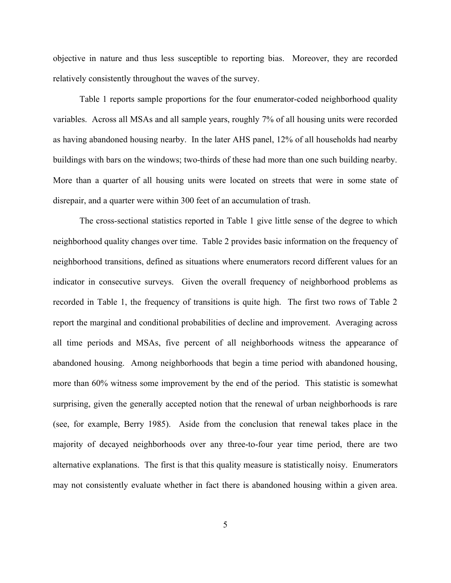objective in nature and thus less susceptible to reporting bias. Moreover, they are recorded relatively consistently throughout the waves of the survey.

Table 1 reports sample proportions for the four enumerator-coded neighborhood quality variables. Across all MSAs and all sample years, roughly 7% of all housing units were recorded as having abandoned housing nearby. In the later AHS panel, 12% of all households had nearby buildings with bars on the windows; two-thirds of these had more than one such building nearby. More than a quarter of all housing units were located on streets that were in some state of disrepair, and a quarter were within 300 feet of an accumulation of trash.

The cross-sectional statistics reported in Table 1 give little sense of the degree to which neighborhood quality changes over time. Table 2 provides basic information on the frequency of neighborhood transitions, defined as situations where enumerators record different values for an indicator in consecutive surveys. Given the overall frequency of neighborhood problems as recorded in Table 1, the frequency of transitions is quite high. The first two rows of Table 2 report the marginal and conditional probabilities of decline and improvement. Averaging across all time periods and MSAs, five percent of all neighborhoods witness the appearance of abandoned housing. Among neighborhoods that begin a time period with abandoned housing, more than 60% witness some improvement by the end of the period. This statistic is somewhat surprising, given the generally accepted notion that the renewal of urban neighborhoods is rare (see, for example, Berry 1985). Aside from the conclusion that renewal takes place in the majority of decayed neighborhoods over any three-to-four year time period, there are two alternative explanations. The first is that this quality measure is statistically noisy. Enumerators may not consistently evaluate whether in fact there is abandoned housing within a given area.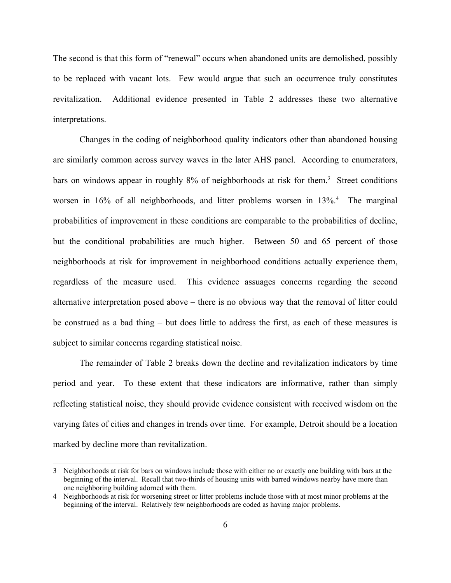The second is that this form of "renewal" occurs when abandoned units are demolished, possibly to be replaced with vacant lots. Few would argue that such an occurrence truly constitutes revitalization. Additional evidence presented in Table 2 addresses these two alternative interpretations.

Changes in the coding of neighborhood quality indicators other than abandoned housing are similarly common across survey waves in the later AHS panel. According to enumerators, bars on windows appear in roughly 8% of neighborhoods at risk for them. [3](#page-6-0) Street conditions worsen in 16% of all neighborhoods, and litter problems worsen in 13%.<sup>[4](#page-6-1)</sup> The marginal probabilities of improvement in these conditions are comparable to the probabilities of decline, but the conditional probabilities are much higher. Between 50 and 65 percent of those neighborhoods at risk for improvement in neighborhood conditions actually experience them, regardless of the measure used. This evidence assuages concerns regarding the second alternative interpretation posed above – there is no obvious way that the removal of litter could be construed as a bad thing – but does little to address the first, as each of these measures is subject to similar concerns regarding statistical noise.

The remainder of Table 2 breaks down the decline and revitalization indicators by time period and year. To these extent that these indicators are informative, rather than simply reflecting statistical noise, they should provide evidence consistent with received wisdom on the varying fates of cities and changes in trends over time. For example, Detroit should be a location marked by decline more than revitalization.

<span id="page-6-0"></span><sup>3</sup> Neighborhoods at risk for bars on windows include those with either no or exactly one building with bars at the beginning of the interval. Recall that two-thirds of housing units with barred windows nearby have more than one neighboring building adorned with them.

<span id="page-6-1"></span><sup>4</sup> Neighborhoods at risk for worsening street or litter problems include those with at most minor problems at the beginning of the interval. Relatively few neighborhoods are coded as having major problems.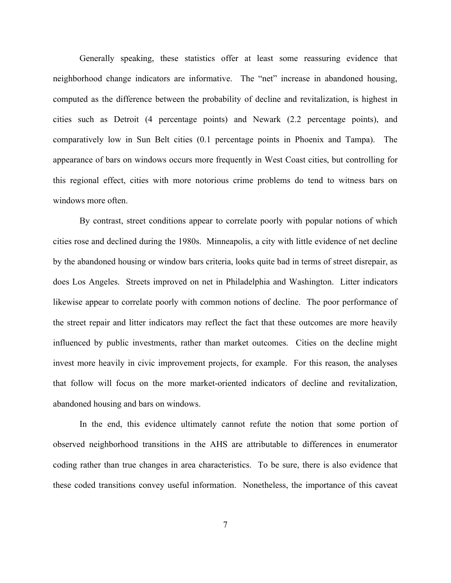Generally speaking, these statistics offer at least some reassuring evidence that neighborhood change indicators are informative. The "net" increase in abandoned housing, computed as the difference between the probability of decline and revitalization, is highest in cities such as Detroit (4 percentage points) and Newark (2.2 percentage points), and comparatively low in Sun Belt cities (0.1 percentage points in Phoenix and Tampa). The appearance of bars on windows occurs more frequently in West Coast cities, but controlling for this regional effect, cities with more notorious crime problems do tend to witness bars on windows more often.

By contrast, street conditions appear to correlate poorly with popular notions of which cities rose and declined during the 1980s. Minneapolis, a city with little evidence of net decline by the abandoned housing or window bars criteria, looks quite bad in terms of street disrepair, as does Los Angeles. Streets improved on net in Philadelphia and Washington. Litter indicators likewise appear to correlate poorly with common notions of decline. The poor performance of the street repair and litter indicators may reflect the fact that these outcomes are more heavily influenced by public investments, rather than market outcomes. Cities on the decline might invest more heavily in civic improvement projects, for example. For this reason, the analyses that follow will focus on the more market-oriented indicators of decline and revitalization, abandoned housing and bars on windows.

In the end, this evidence ultimately cannot refute the notion that some portion of observed neighborhood transitions in the AHS are attributable to differences in enumerator coding rather than true changes in area characteristics. To be sure, there is also evidence that these coded transitions convey useful information. Nonetheless, the importance of this caveat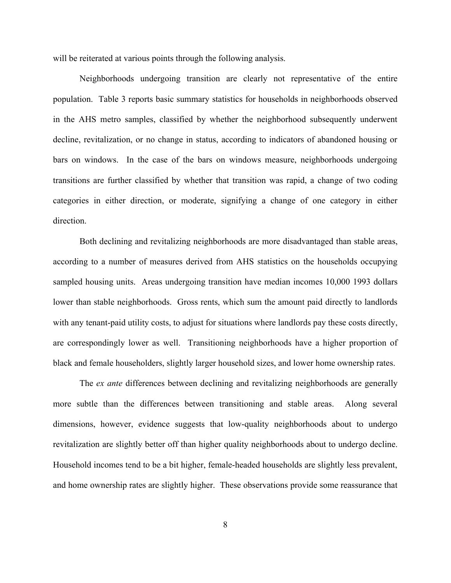will be reiterated at various points through the following analysis.

Neighborhoods undergoing transition are clearly not representative of the entire population. Table 3 reports basic summary statistics for households in neighborhoods observed in the AHS metro samples, classified by whether the neighborhood subsequently underwent decline, revitalization, or no change in status, according to indicators of abandoned housing or bars on windows. In the case of the bars on windows measure, neighborhoods undergoing transitions are further classified by whether that transition was rapid, a change of two coding categories in either direction, or moderate, signifying a change of one category in either direction.

Both declining and revitalizing neighborhoods are more disadvantaged than stable areas, according to a number of measures derived from AHS statistics on the households occupying sampled housing units. Areas undergoing transition have median incomes 10,000 1993 dollars lower than stable neighborhoods. Gross rents, which sum the amount paid directly to landlords with any tenant-paid utility costs, to adjust for situations where landlords pay these costs directly, are correspondingly lower as well. Transitioning neighborhoods have a higher proportion of black and female householders, slightly larger household sizes, and lower home ownership rates.

The *ex ante* differences between declining and revitalizing neighborhoods are generally more subtle than the differences between transitioning and stable areas. Along several dimensions, however, evidence suggests that low-quality neighborhoods about to undergo revitalization are slightly better off than higher quality neighborhoods about to undergo decline. Household incomes tend to be a bit higher, female-headed households are slightly less prevalent, and home ownership rates are slightly higher. These observations provide some reassurance that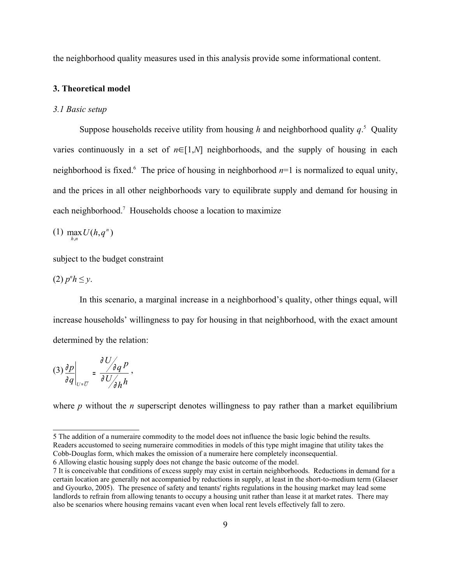the neighborhood quality measures used in this analysis provide some informational content.

### **3. Theoretical model**

### *3.1 Basic setup*

Suppose households receive utility from housing *h* and neighborhood quality *q*. [5](#page-9-0) Quality varies continuously in a set of  $n \in [1,N]$  neighborhoods, and the supply of housing in each neighborhood is fixed.<sup>[6](#page-9-1)</sup> The price of housing in neighborhood  $n=1$  is normalized to equal unity, and the prices in all other neighborhoods vary to equilibrate supply and demand for housing in each neighborhood.<sup>[7](#page-9-2)</sup> Households choose a location to maximize

 $(1)$  max  $U(h, q^n)$ 

subject to the budget constraint

 $(2)$   $p<sup>n</sup>h \leq y$ .

In this scenario, a marginal increase in a neighborhood's quality, other things equal, will increase households' willingness to pay for housing in that neighborhood, with the exact amount determined by the relation:

$$
(3)\frac{\partial p}{\partial q}\bigg|_{U=\overline{U}}=\frac{\partial U}{\partial U/\partial h}.
$$

where *p* without the *n* superscript denotes willingness to pay rather than a market equilibrium

<span id="page-9-0"></span><sup>5</sup> The addition of a numeraire commodity to the model does not influence the basic logic behind the results. Readers accustomed to seeing numeraire commodities in models of this type might imagine that utility takes the Cobb-Douglas form, which makes the omission of a numeraire here completely inconsequential.

<span id="page-9-1"></span><sup>6</sup> Allowing elastic housing supply does not change the basic outcome of the model.

<span id="page-9-2"></span><sup>7</sup> It is conceivable that conditions of excess supply may exist in certain neighborhoods. Reductions in demand for a certain location are generally not accompanied by reductions in supply, at least in the short-to-medium term (Glaeser and Gyourko, 2005). The presence of safety and tenants' rights regulations in the housing market may lead some landlords to refrain from allowing tenants to occupy a housing unit rather than lease it at market rates. There may also be scenarios where housing remains vacant even when local rent levels effectively fall to zero.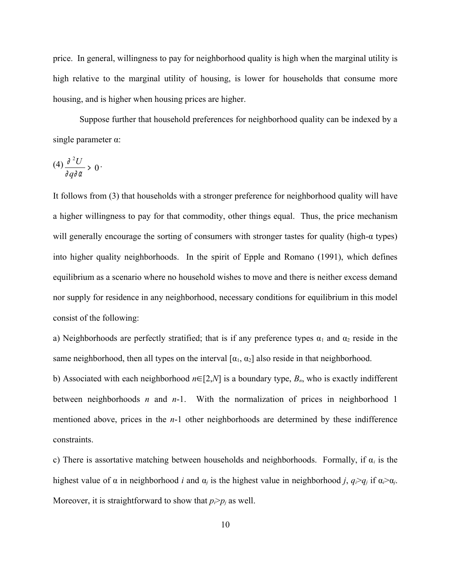price. In general, willingness to pay for neighborhood quality is high when the marginal utility is high relative to the marginal utility of housing, is lower for households that consume more housing, and is higher when housing prices are higher.

Suppose further that household preferences for neighborhood quality can be indexed by a single parameter α:

$$
(4)\frac{\partial^2 U}{\partial q \partial \alpha} \rightarrow 0
$$

It follows from (3) that households with a stronger preference for neighborhood quality will have a higher willingness to pay for that commodity, other things equal. Thus, the price mechanism will generally encourage the sorting of consumers with stronger tastes for quality (high-α types) into higher quality neighborhoods. In the spirit of Epple and Romano (1991), which defines equilibrium as a scenario where no household wishes to move and there is neither excess demand nor supply for residence in any neighborhood, necessary conditions for equilibrium in this model consist of the following:

a) Neighborhoods are perfectly stratified; that is if any preference types  $\alpha_1$  and  $\alpha_2$  reside in the same neighborhood, then all types on the interval  $[\alpha_1, \alpha_2]$  also reside in that neighborhood.

b) Associated with each neighborhood *n*∈[2,*N*] is a boundary type, *Bn*, who is exactly indifferent between neighborhoods *n* and *n*-1. With the normalization of prices in neighborhood 1 mentioned above, prices in the *n*-1 other neighborhoods are determined by these indifference constraints.

c) There is assortative matching between households and neighborhoods. Formally, if α*<sup>i</sup>* is the highest value of  $\alpha$  in neighborhood *i* and  $\alpha_j$  is the highest value in neighborhood *j*,  $q_i > q_j$  if  $\alpha_i > \alpha_j$ . Moreover, it is straightforward to show that  $p_i > p_i$  as well.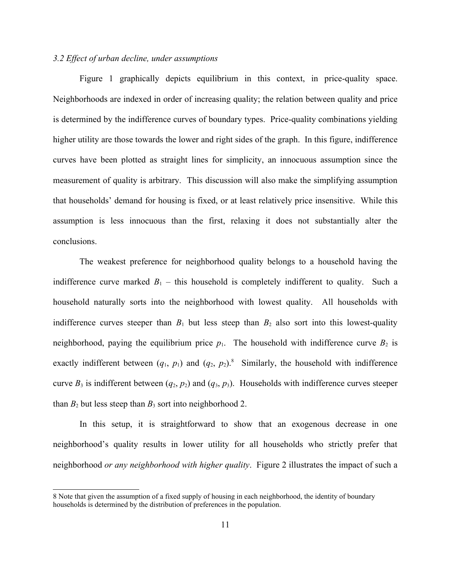# *3.2 Effect of urban decline, under assumptions*

Figure 1 graphically depicts equilibrium in this context, in price-quality space. Neighborhoods are indexed in order of increasing quality; the relation between quality and price is determined by the indifference curves of boundary types. Price-quality combinations yielding higher utility are those towards the lower and right sides of the graph. In this figure, indifference curves have been plotted as straight lines for simplicity, an innocuous assumption since the measurement of quality is arbitrary. This discussion will also make the simplifying assumption that households' demand for housing is fixed, or at least relatively price insensitive. While this assumption is less innocuous than the first, relaxing it does not substantially alter the conclusions.

The weakest preference for neighborhood quality belongs to a household having the indifference curve marked  $B_1$  – this household is completely indifferent to quality. Such a household naturally sorts into the neighborhood with lowest quality. All households with indifference curves steeper than  $B_1$  but less steep than  $B_2$  also sort into this lowest-quality neighborhood, paying the equilibrium price  $p_1$ . The household with indifference curve  $B_2$  is exactly indifferent between  $(q_1, p_1)$  and  $(q_2, p_2)^8$  $(q_2, p_2)^8$ . Similarly, the household with indifference curve  $B_3$  is indifferent between  $(q_2, p_2)$  and  $(q_3, p_3)$ . Households with indifference curves steeper than  $B_2$  but less steep than  $B_3$  sort into neighborhood 2.

In this setup, it is straightforward to show that an exogenous decrease in one neighborhood's quality results in lower utility for all households who strictly prefer that neighborhood *or any neighborhood with higher quality*. Figure 2 illustrates the impact of such a

<span id="page-11-0"></span><sup>8</sup> Note that given the assumption of a fixed supply of housing in each neighborhood, the identity of boundary households is determined by the distribution of preferences in the population.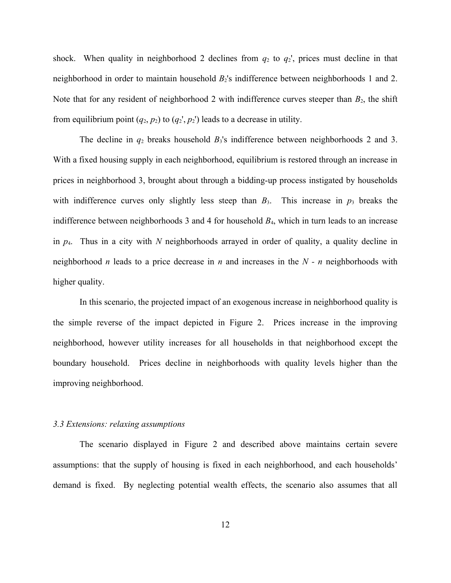shock. When quality in neighborhood 2 declines from  $q_2$  to  $q_2$ ', prices must decline in that neighborhood in order to maintain household  $B_2$ 's indifference between neighborhoods 1 and 2. Note that for any resident of neighborhood 2 with indifference curves steeper than  $B_2$ , the shift from equilibrium point  $(q_2, p_2)$  to  $(q_2, p_2)$  leads to a decrease in utility.

The decline in  $q_2$  breaks household  $B_3$ 's indifference between neighborhoods 2 and 3. With a fixed housing supply in each neighborhood, equilibrium is restored through an increase in prices in neighborhood 3, brought about through a bidding-up process instigated by households with indifference curves only slightly less steep than  $B_3$ . This increase in  $p_3$  breaks the indifference between neighborhoods 3 and 4 for household *B*4, which in turn leads to an increase in *p*4. Thus in a city with *N* neighborhoods arrayed in order of quality, a quality decline in neighborhood *n* leads to a price decrease in *n* and increases in the *N - n* neighborhoods with higher quality.

In this scenario, the projected impact of an exogenous increase in neighborhood quality is the simple reverse of the impact depicted in Figure 2. Prices increase in the improving neighborhood, however utility increases for all households in that neighborhood except the boundary household. Prices decline in neighborhoods with quality levels higher than the improving neighborhood.

#### *3.3 Extensions: relaxing assumptions*

The scenario displayed in Figure 2 and described above maintains certain severe assumptions: that the supply of housing is fixed in each neighborhood, and each households' demand is fixed. By neglecting potential wealth effects, the scenario also assumes that all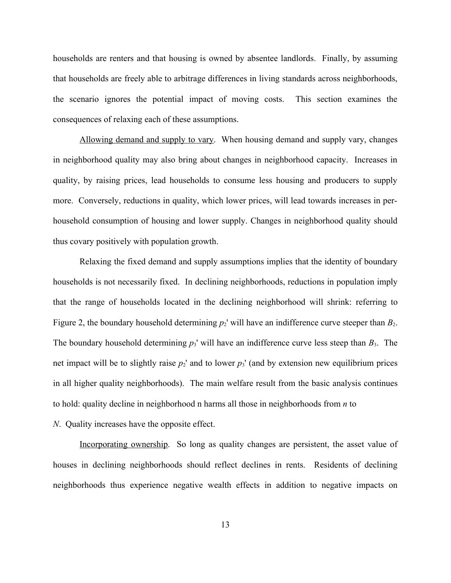households are renters and that housing is owned by absentee landlords. Finally, by assuming that households are freely able to arbitrage differences in living standards across neighborhoods, the scenario ignores the potential impact of moving costs. This section examines the consequences of relaxing each of these assumptions.

Allowing demand and supply to vary. When housing demand and supply vary, changes in neighborhood quality may also bring about changes in neighborhood capacity. Increases in quality, by raising prices, lead households to consume less housing and producers to supply more. Conversely, reductions in quality, which lower prices, will lead towards increases in perhousehold consumption of housing and lower supply. Changes in neighborhood quality should thus covary positively with population growth.

Relaxing the fixed demand and supply assumptions implies that the identity of boundary households is not necessarily fixed. In declining neighborhoods, reductions in population imply that the range of households located in the declining neighborhood will shrink: referring to Figure 2, the boundary household determining  $p_2$ ' will have an indifference curve steeper than  $B_2$ . The boundary household determining  $p_3$ ' will have an indifference curve less steep than  $B_3$ . The net impact will be to slightly raise  $p_2$ <sup>'</sup> and to lower  $p_3$ ' (and by extension new equilibrium prices in all higher quality neighborhoods). The main welfare result from the basic analysis continues to hold: quality decline in neighborhood n harms all those in neighborhoods from *n* to

## *N*. Quality increases have the opposite effect.

Incorporating ownership. So long as quality changes are persistent, the asset value of houses in declining neighborhoods should reflect declines in rents. Residents of declining neighborhoods thus experience negative wealth effects in addition to negative impacts on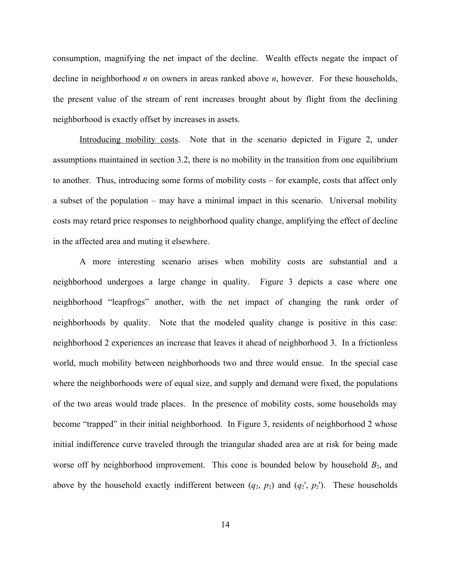consumption, magnifying the net impact of the decline. Wealth effects negate the impact of decline in neighborhood *n* on owners in areas ranked above *n*, however. For these households, the present value of the stream of rent increases brought about by flight from the declining neighborhood is exactly offset by increases in assets.

Introducing mobility costs. Note that in the scenario depicted in Figure 2, under assumptions maintained in section 3.2, there is no mobility in the transition from one equilibrium to another. Thus, introducing some forms of mobility costs – for example, costs that affect only a subset of the population – may have a minimal impact in this scenario. Universal mobility costs may retard price responses to neighborhood quality change, amplifying the effect of decline in the affected area and muting it elsewhere.

A more interesting scenario arises when mobility costs are substantial and a neighborhood undergoes a large change in quality. Figure 3 depicts a case where one neighborhood "leapfrogs" another, with the net impact of changing the rank order of neighborhoods by quality. Note that the modeled quality change is positive in this case: neighborhood 2 experiences an increase that leaves it ahead of neighborhood 3. In a frictionless world, much mobility between neighborhoods two and three would ensue. In the special case where the neighborhoods were of equal size, and supply and demand were fixed, the populations of the two areas would trade places. In the presence of mobility costs, some households may become "trapped" in their initial neighborhood. In Figure 3, residents of neighborhood 2 whose initial indifference curve traveled through the triangular shaded area are at risk for being made worse off by neighborhood improvement. This cone is bounded below by household  $B_2$ , and above by the household exactly indifferent between  $(q_2, p_2)$  and  $(q_2, p_2)$ . These households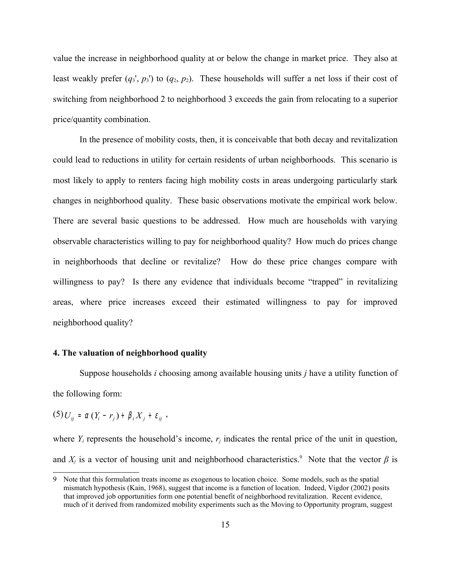value the increase in neighborhood quality at or below the change in market price. They also at least weakly prefer  $(q_3, p_3)$  to  $(q_2, p_2)$ . These households will suffer a net loss if their cost of switching from neighborhood 2 to neighborhood 3 exceeds the gain from relocating to a superior price/quantity combination.

In the presence of mobility costs, then, it is conceivable that both decay and revitalization could lead to reductions in utility for certain residents of urban neighborhoods. This scenario is most likely to apply to renters facing high mobility costs in areas undergoing particularly stark changes in neighborhood quality. These basic observations motivate the empirical work below. There are several basic questions to be addressed. How much are households with varying observable characteristics willing to pay for neighborhood quality? How much do prices change in neighborhoods that decline or revitalize? How do these price changes compare with willingness to pay? Is there any evidence that individuals become "trapped" in revitalizing areas, where price increases exceed their estimated willingness to pay for improved neighborhood quality?

### **4. The valuation of neighborhood quality**

Suppose households *i* choosing among available housing units *j* have a utility function of the following form:

 $(5)$   $U_{ij}$  =  $\alpha$   $(Y_i - r_j) + \beta_i X_j + \varepsilon_{ij}$ ,

where  $Y_i$  represents the household's income,  $r_i$  indicates the rental price of the unit in question, and  $X_j$  is a vector of housing unit and neighborhood characteristics.<sup>[9](#page-15-0)</sup> Note that the vector  $\beta$  is

<span id="page-15-0"></span><sup>9</sup> Note that this formulation treats income as exogenous to location choice. Some models, such as the spatial mismatch hypothesis (Kain, 1968), suggest that income is a function of location. Indeed, Vigdor (2002) posits that improved job opportunities form one potential benefit of neighborhood revitalization. Recent evidence, much of it derived from randomized mobility experiments such as the Moving to Opportunity program, suggest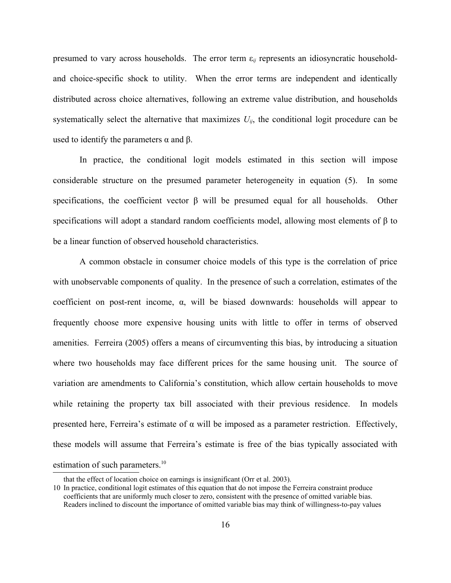presumed to vary across households. The error term ε*ij* represents an idiosyncratic householdand choice-specific shock to utility. When the error terms are independent and identically distributed across choice alternatives, following an extreme value distribution, and households systematically select the alternative that maximizes  $U_{ij}$ , the conditional logit procedure can be used to identify the parameters  $α$  and  $β$ .

In practice, the conditional logit models estimated in this section will impose considerable structure on the presumed parameter heterogeneity in equation (5). In some specifications, the coefficient vector  $\beta$  will be presumed equal for all households. Other specifications will adopt a standard random coefficients model, allowing most elements of β to be a linear function of observed household characteristics.

A common obstacle in consumer choice models of this type is the correlation of price with unobservable components of quality. In the presence of such a correlation, estimates of the coefficient on post-rent income,  $\alpha$ , will be biased downwards: households will appear to frequently choose more expensive housing units with little to offer in terms of observed amenities. Ferreira (2005) offers a means of circumventing this bias, by introducing a situation where two households may face different prices for the same housing unit. The source of variation are amendments to California's constitution, which allow certain households to move while retaining the property tax bill associated with their previous residence. In models presented here, Ferreira's estimate of  $\alpha$  will be imposed as a parameter restriction. Effectively, these models will assume that Ferreira's estimate is free of the bias typically associated with estimation of such parameters.<sup>[10](#page-16-0)</sup>

<span id="page-16-0"></span>that the effect of location choice on earnings is insignificant (Orr et al. 2003).

<sup>10</sup> In practice, conditional logit estimates of this equation that do not impose the Ferreira constraint produce coefficients that are uniformly much closer to zero, consistent with the presence of omitted variable bias. Readers inclined to discount the importance of omitted variable bias may think of willingness-to-pay values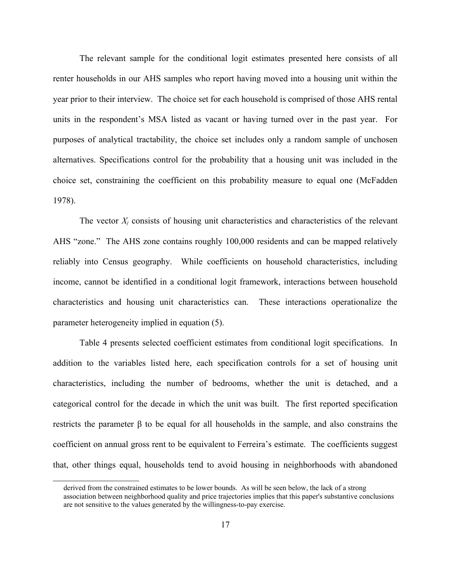The relevant sample for the conditional logit estimates presented here consists of all renter households in our AHS samples who report having moved into a housing unit within the year prior to their interview. The choice set for each household is comprised of those AHS rental units in the respondent's MSA listed as vacant or having turned over in the past year. For purposes of analytical tractability, the choice set includes only a random sample of unchosen alternatives. Specifications control for the probability that a housing unit was included in the choice set, constraining the coefficient on this probability measure to equal one (McFadden 1978).

The vector  $X_i$  consists of housing unit characteristics and characteristics of the relevant AHS "zone." The AHS zone contains roughly 100,000 residents and can be mapped relatively reliably into Census geography. While coefficients on household characteristics, including income, cannot be identified in a conditional logit framework, interactions between household characteristics and housing unit characteristics can. These interactions operationalize the parameter heterogeneity implied in equation (5).

Table 4 presents selected coefficient estimates from conditional logit specifications. In addition to the variables listed here, each specification controls for a set of housing unit characteristics, including the number of bedrooms, whether the unit is detached, and a categorical control for the decade in which the unit was built. The first reported specification restricts the parameter β to be equal for all households in the sample, and also constrains the coefficient on annual gross rent to be equivalent to Ferreira's estimate. The coefficients suggest that, other things equal, households tend to avoid housing in neighborhoods with abandoned

derived from the constrained estimates to be lower bounds. As will be seen below, the lack of a strong association between neighborhood quality and price trajectories implies that this paper's substantive conclusions are not sensitive to the values generated by the willingness-to-pay exercise.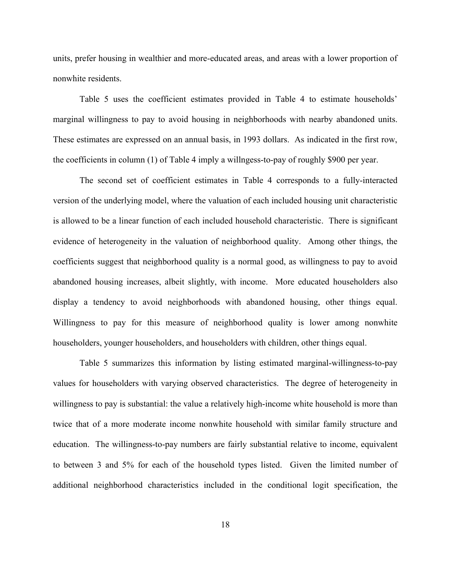units, prefer housing in wealthier and more-educated areas, and areas with a lower proportion of nonwhite residents.

Table 5 uses the coefficient estimates provided in Table 4 to estimate households' marginal willingness to pay to avoid housing in neighborhoods with nearby abandoned units. These estimates are expressed on an annual basis, in 1993 dollars. As indicated in the first row, the coefficients in column (1) of Table 4 imply a willngess-to-pay of roughly \$900 per year.

The second set of coefficient estimates in Table 4 corresponds to a fully-interacted version of the underlying model, where the valuation of each included housing unit characteristic is allowed to be a linear function of each included household characteristic. There is significant evidence of heterogeneity in the valuation of neighborhood quality. Among other things, the coefficients suggest that neighborhood quality is a normal good, as willingness to pay to avoid abandoned housing increases, albeit slightly, with income. More educated householders also display a tendency to avoid neighborhoods with abandoned housing, other things equal. Willingness to pay for this measure of neighborhood quality is lower among nonwhite householders, younger householders, and householders with children, other things equal.

Table 5 summarizes this information by listing estimated marginal-willingness-to-pay values for householders with varying observed characteristics. The degree of heterogeneity in willingness to pay is substantial: the value a relatively high-income white household is more than twice that of a more moderate income nonwhite household with similar family structure and education. The willingness-to-pay numbers are fairly substantial relative to income, equivalent to between 3 and 5% for each of the household types listed. Given the limited number of additional neighborhood characteristics included in the conditional logit specification, the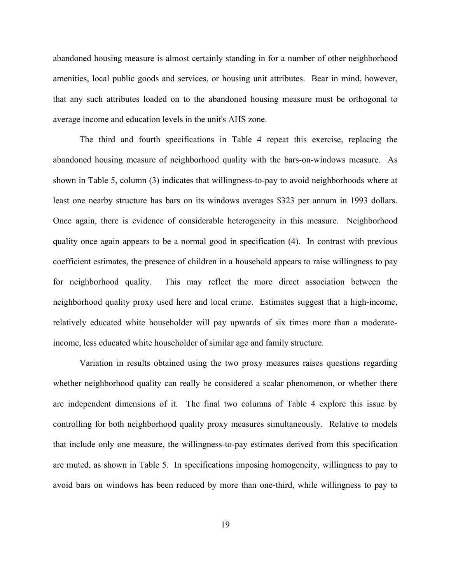abandoned housing measure is almost certainly standing in for a number of other neighborhood amenities, local public goods and services, or housing unit attributes. Bear in mind, however, that any such attributes loaded on to the abandoned housing measure must be orthogonal to average income and education levels in the unit's AHS zone.

The third and fourth specifications in Table 4 repeat this exercise, replacing the abandoned housing measure of neighborhood quality with the bars-on-windows measure. As shown in Table 5, column (3) indicates that willingness-to-pay to avoid neighborhoods where at least one nearby structure has bars on its windows averages \$323 per annum in 1993 dollars. Once again, there is evidence of considerable heterogeneity in this measure. Neighborhood quality once again appears to be a normal good in specification (4). In contrast with previous coefficient estimates, the presence of children in a household appears to raise willingness to pay for neighborhood quality. This may reflect the more direct association between the neighborhood quality proxy used here and local crime. Estimates suggest that a high-income, relatively educated white householder will pay upwards of six times more than a moderateincome, less educated white householder of similar age and family structure.

Variation in results obtained using the two proxy measures raises questions regarding whether neighborhood quality can really be considered a scalar phenomenon, or whether there are independent dimensions of it. The final two columns of Table 4 explore this issue by controlling for both neighborhood quality proxy measures simultaneously. Relative to models that include only one measure, the willingness-to-pay estimates derived from this specification are muted, as shown in Table 5. In specifications imposing homogeneity, willingness to pay to avoid bars on windows has been reduced by more than one-third, while willingness to pay to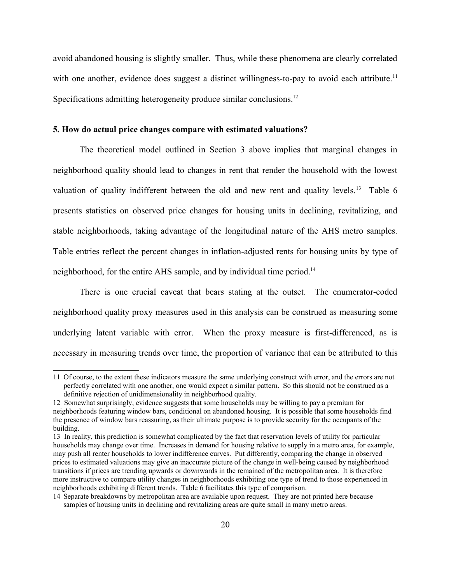avoid abandoned housing is slightly smaller. Thus, while these phenomena are clearly correlated with one another, evidence does suggest a distinct willingness-to-pay to avoid each attribute.<sup>[11](#page-20-0)</sup> Specifications admitting heterogeneity produce similar conclusions.<sup>[12](#page-20-1)</sup>

# **5. How do actual price changes compare with estimated valuations?**

The theoretical model outlined in Section 3 above implies that marginal changes in neighborhood quality should lead to changes in rent that render the household with the lowest valuation of quality indifferent between the old and new rent and quality levels.<sup>[13](#page-20-2)</sup> Table 6 presents statistics on observed price changes for housing units in declining, revitalizing, and stable neighborhoods, taking advantage of the longitudinal nature of the AHS metro samples. Table entries reflect the percent changes in inflation-adjusted rents for housing units by type of neighborhood, for the entire AHS sample, and by individual time period.<sup>[14](#page-20-3)</sup>

There is one crucial caveat that bears stating at the outset. The enumerator-coded neighborhood quality proxy measures used in this analysis can be construed as measuring some underlying latent variable with error. When the proxy measure is first-differenced, as is necessary in measuring trends over time, the proportion of variance that can be attributed to this

<span id="page-20-0"></span><sup>11</sup> Of course, to the extent these indicators measure the same underlying construct with error, and the errors are not perfectly correlated with one another, one would expect a similar pattern. So this should not be construed as a definitive rejection of unidimensionality in neighborhood quality.

<span id="page-20-1"></span><sup>12</sup> Somewhat surprisingly, evidence suggests that some households may be willing to pay a premium for neighborhoods featuring window bars, conditional on abandoned housing. It is possible that some households find the presence of window bars reassuring, as their ultimate purpose is to provide security for the occupants of the building.

<span id="page-20-2"></span><sup>13</sup> In reality, this prediction is somewhat complicated by the fact that reservation levels of utility for particular households may change over time. Increases in demand for housing relative to supply in a metro area, for example, may push all renter households to lower indifference curves. Put differently, comparing the change in observed prices to estimated valuations may give an inaccurate picture of the change in well-being caused by neighborhood transitions if prices are trending upwards or downwards in the remained of the metropolitan area. It is therefore more instructive to compare utility changes in neighborhoods exhibiting one type of trend to those experienced in neighborhoods exhibiting different trends. Table 6 facilitates this type of comparison.

<span id="page-20-3"></span><sup>14</sup> Separate breakdowns by metropolitan area are available upon request. They are not printed here because samples of housing units in declining and revitalizing areas are quite small in many metro areas.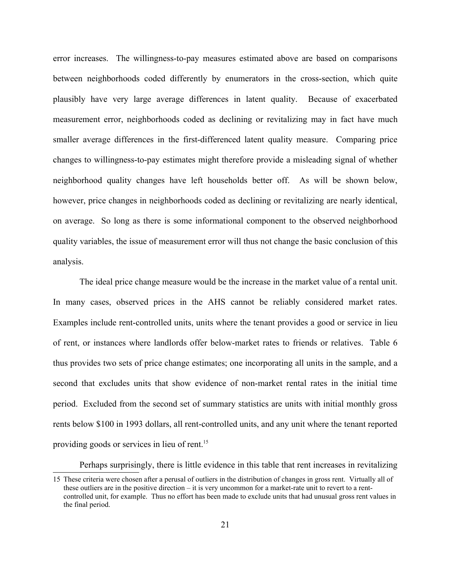error increases. The willingness-to-pay measures estimated above are based on comparisons between neighborhoods coded differently by enumerators in the cross-section, which quite plausibly have very large average differences in latent quality. Because of exacerbated measurement error, neighborhoods coded as declining or revitalizing may in fact have much smaller average differences in the first-differenced latent quality measure. Comparing price changes to willingness-to-pay estimates might therefore provide a misleading signal of whether neighborhood quality changes have left households better off. As will be shown below, however, price changes in neighborhoods coded as declining or revitalizing are nearly identical, on average. So long as there is some informational component to the observed neighborhood quality variables, the issue of measurement error will thus not change the basic conclusion of this analysis.

The ideal price change measure would be the increase in the market value of a rental unit. In many cases, observed prices in the AHS cannot be reliably considered market rates. Examples include rent-controlled units, units where the tenant provides a good or service in lieu of rent, or instances where landlords offer below-market rates to friends or relatives. Table 6 thus provides two sets of price change estimates; one incorporating all units in the sample, and a second that excludes units that show evidence of non-market rental rates in the initial time period. Excluded from the second set of summary statistics are units with initial monthly gross rents below \$100 in 1993 dollars, all rent-controlled units, and any unit where the tenant reported providing goods or services in lieu of rent. [15](#page-21-0)

Perhaps surprisingly, there is little evidence in this table that rent increases in revitalizing

<span id="page-21-0"></span><sup>15</sup> These criteria were chosen after a perusal of outliers in the distribution of changes in gross rent. Virtually all of these outliers are in the positive direction – it is very uncommon for a market-rate unit to revert to a rentcontrolled unit, for example. Thus no effort has been made to exclude units that had unusual gross rent values in the final period.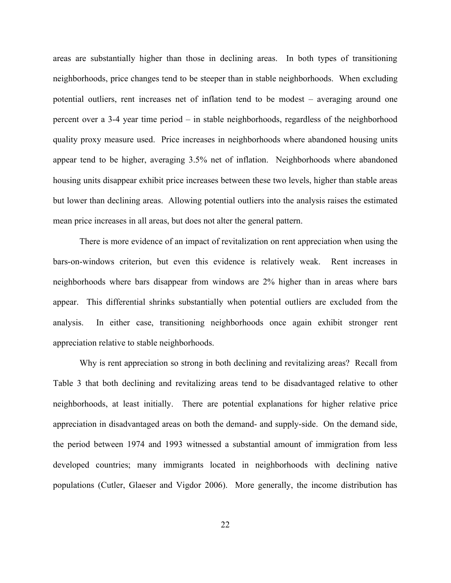areas are substantially higher than those in declining areas. In both types of transitioning neighborhoods, price changes tend to be steeper than in stable neighborhoods. When excluding potential outliers, rent increases net of inflation tend to be modest – averaging around one percent over a 3-4 year time period – in stable neighborhoods, regardless of the neighborhood quality proxy measure used. Price increases in neighborhoods where abandoned housing units appear tend to be higher, averaging 3.5% net of inflation. Neighborhoods where abandoned housing units disappear exhibit price increases between these two levels, higher than stable areas but lower than declining areas. Allowing potential outliers into the analysis raises the estimated mean price increases in all areas, but does not alter the general pattern.

There is more evidence of an impact of revitalization on rent appreciation when using the bars-on-windows criterion, but even this evidence is relatively weak. Rent increases in neighborhoods where bars disappear from windows are 2% higher than in areas where bars appear. This differential shrinks substantially when potential outliers are excluded from the analysis. In either case, transitioning neighborhoods once again exhibit stronger rent appreciation relative to stable neighborhoods.

Why is rent appreciation so strong in both declining and revitalizing areas? Recall from Table 3 that both declining and revitalizing areas tend to be disadvantaged relative to other neighborhoods, at least initially. There are potential explanations for higher relative price appreciation in disadvantaged areas on both the demand- and supply-side. On the demand side, the period between 1974 and 1993 witnessed a substantial amount of immigration from less developed countries; many immigrants located in neighborhoods with declining native populations (Cutler, Glaeser and Vigdor 2006). More generally, the income distribution has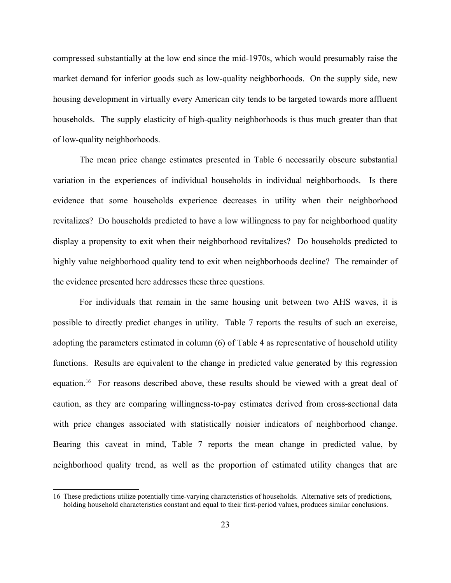compressed substantially at the low end since the mid-1970s, which would presumably raise the market demand for inferior goods such as low-quality neighborhoods. On the supply side, new housing development in virtually every American city tends to be targeted towards more affluent households. The supply elasticity of high-quality neighborhoods is thus much greater than that of low-quality neighborhoods.

The mean price change estimates presented in Table 6 necessarily obscure substantial variation in the experiences of individual households in individual neighborhoods. Is there evidence that some households experience decreases in utility when their neighborhood revitalizes? Do households predicted to have a low willingness to pay for neighborhood quality display a propensity to exit when their neighborhood revitalizes? Do households predicted to highly value neighborhood quality tend to exit when neighborhoods decline? The remainder of the evidence presented here addresses these three questions.

For individuals that remain in the same housing unit between two AHS waves, it is possible to directly predict changes in utility. Table 7 reports the results of such an exercise, adopting the parameters estimated in column (6) of Table 4 as representative of household utility functions. Results are equivalent to the change in predicted value generated by this regression equation.[16](#page-23-0) For reasons described above, these results should be viewed with a great deal of caution, as they are comparing willingness-to-pay estimates derived from cross-sectional data with price changes associated with statistically noisier indicators of neighborhood change. Bearing this caveat in mind, Table 7 reports the mean change in predicted value, by neighborhood quality trend, as well as the proportion of estimated utility changes that are

<span id="page-23-0"></span><sup>16</sup> These predictions utilize potentially time-varying characteristics of households. Alternative sets of predictions, holding household characteristics constant and equal to their first-period values, produces similar conclusions.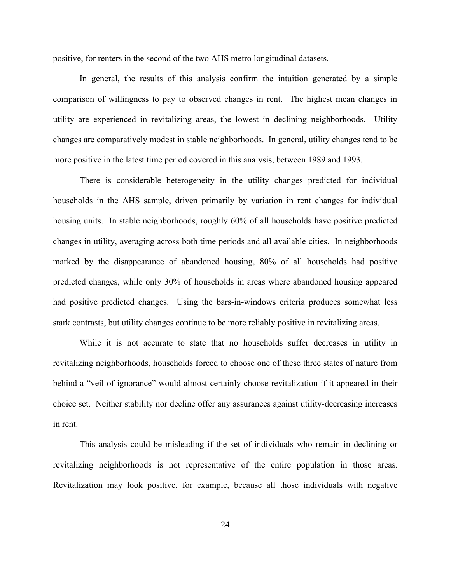positive, for renters in the second of the two AHS metro longitudinal datasets.

In general, the results of this analysis confirm the intuition generated by a simple comparison of willingness to pay to observed changes in rent. The highest mean changes in utility are experienced in revitalizing areas, the lowest in declining neighborhoods. Utility changes are comparatively modest in stable neighborhoods. In general, utility changes tend to be more positive in the latest time period covered in this analysis, between 1989 and 1993.

There is considerable heterogeneity in the utility changes predicted for individual households in the AHS sample, driven primarily by variation in rent changes for individual housing units. In stable neighborhoods, roughly 60% of all households have positive predicted changes in utility, averaging across both time periods and all available cities. In neighborhoods marked by the disappearance of abandoned housing, 80% of all households had positive predicted changes, while only 30% of households in areas where abandoned housing appeared had positive predicted changes. Using the bars-in-windows criteria produces somewhat less stark contrasts, but utility changes continue to be more reliably positive in revitalizing areas.

While it is not accurate to state that no households suffer decreases in utility in revitalizing neighborhoods, households forced to choose one of these three states of nature from behind a "veil of ignorance" would almost certainly choose revitalization if it appeared in their choice set. Neither stability nor decline offer any assurances against utility-decreasing increases in rent.

This analysis could be misleading if the set of individuals who remain in declining or revitalizing neighborhoods is not representative of the entire population in those areas. Revitalization may look positive, for example, because all those individuals with negative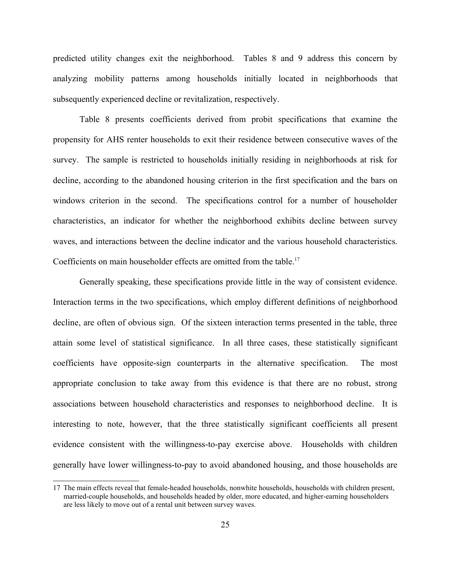predicted utility changes exit the neighborhood. Tables 8 and 9 address this concern by analyzing mobility patterns among households initially located in neighborhoods that subsequently experienced decline or revitalization, respectively.

Table 8 presents coefficients derived from probit specifications that examine the propensity for AHS renter households to exit their residence between consecutive waves of the survey. The sample is restricted to households initially residing in neighborhoods at risk for decline, according to the abandoned housing criterion in the first specification and the bars on windows criterion in the second. The specifications control for a number of householder characteristics, an indicator for whether the neighborhood exhibits decline between survey waves, and interactions between the decline indicator and the various household characteristics. Coefficients on main householder effects are omitted from the table.<sup>[17](#page-25-0)</sup>

Generally speaking, these specifications provide little in the way of consistent evidence. Interaction terms in the two specifications, which employ different definitions of neighborhood decline, are often of obvious sign. Of the sixteen interaction terms presented in the table, three attain some level of statistical significance. In all three cases, these statistically significant coefficients have opposite-sign counterparts in the alternative specification. The most appropriate conclusion to take away from this evidence is that there are no robust, strong associations between household characteristics and responses to neighborhood decline. It is interesting to note, however, that the three statistically significant coefficients all present evidence consistent with the willingness-to-pay exercise above. Households with children generally have lower willingness-to-pay to avoid abandoned housing, and those households are

<span id="page-25-0"></span><sup>17</sup> The main effects reveal that female-headed households, nonwhite households, households with children present, married-couple households, and households headed by older, more educated, and higher-earning householders are less likely to move out of a rental unit between survey waves.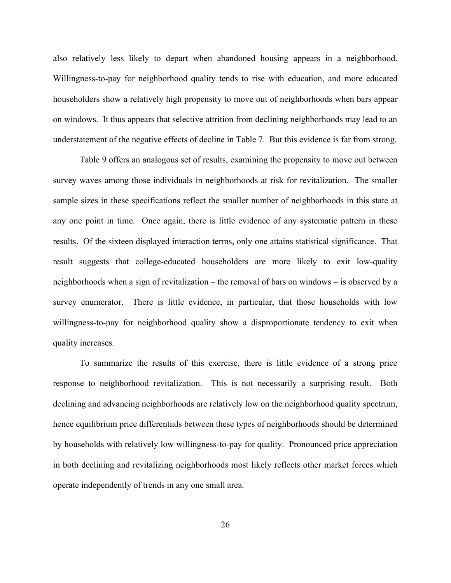also relatively less likely to depart when abandoned housing appears in a neighborhood. Willingness-to-pay for neighborhood quality tends to rise with education, and more educated householders show a relatively high propensity to move out of neighborhoods when bars appear on windows. It thus appears that selective attrition from declining neighborhoods may lead to an understatement of the negative effects of decline in Table 7. But this evidence is far from strong.

Table 9 offers an analogous set of results, examining the propensity to move out between survey waves among those individuals in neighborhoods at risk for revitalization. The smaller sample sizes in these specifications reflect the smaller number of neighborhoods in this state at any one point in time. Once again, there is little evidence of any systematic pattern in these results. Of the sixteen displayed interaction terms, only one attains statistical significance. That result suggests that college-educated householders are more likely to exit low-quality neighborhoods when a sign of revitalization – the removal of bars on windows – is observed by a survey enumerator. There is little evidence, in particular, that those households with low willingness-to-pay for neighborhood quality show a disproportionate tendency to exit when quality increases.

To summarize the results of this exercise, there is little evidence of a strong price response to neighborhood revitalization. This is not necessarily a surprising result. Both declining and advancing neighborhoods are relatively low on the neighborhood quality spectrum, hence equilibrium price differentials between these types of neighborhoods should be determined by households with relatively low willingness-to-pay for quality. Pronounced price appreciation in both declining and revitalizing neighborhoods most likely reflects other market forces which operate independently of trends in any one small area.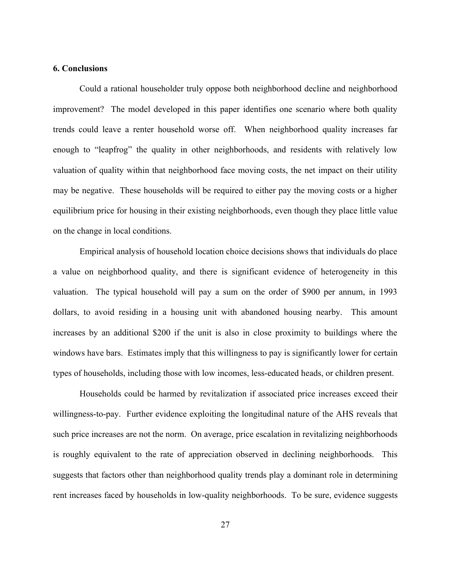## **6. Conclusions**

Could a rational householder truly oppose both neighborhood decline and neighborhood improvement? The model developed in this paper identifies one scenario where both quality trends could leave a renter household worse off. When neighborhood quality increases far enough to "leapfrog" the quality in other neighborhoods, and residents with relatively low valuation of quality within that neighborhood face moving costs, the net impact on their utility may be negative. These households will be required to either pay the moving costs or a higher equilibrium price for housing in their existing neighborhoods, even though they place little value on the change in local conditions.

Empirical analysis of household location choice decisions shows that individuals do place a value on neighborhood quality, and there is significant evidence of heterogeneity in this valuation. The typical household will pay a sum on the order of \$900 per annum, in 1993 dollars, to avoid residing in a housing unit with abandoned housing nearby. This amount increases by an additional \$200 if the unit is also in close proximity to buildings where the windows have bars. Estimates imply that this willingness to pay is significantly lower for certain types of households, including those with low incomes, less-educated heads, or children present.

Households could be harmed by revitalization if associated price increases exceed their willingness-to-pay. Further evidence exploiting the longitudinal nature of the AHS reveals that such price increases are not the norm. On average, price escalation in revitalizing neighborhoods is roughly equivalent to the rate of appreciation observed in declining neighborhoods. This suggests that factors other than neighborhood quality trends play a dominant role in determining rent increases faced by households in low-quality neighborhoods. To be sure, evidence suggests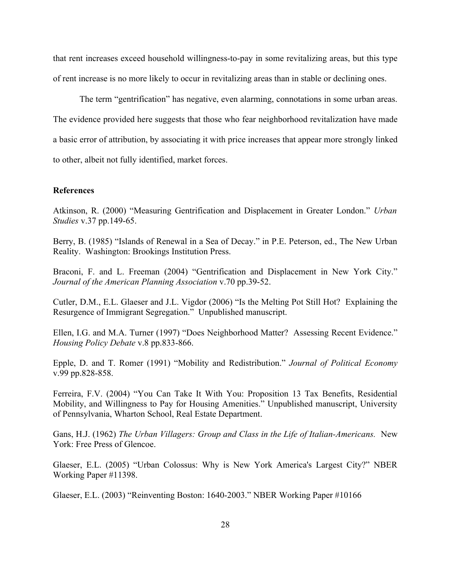that rent increases exceed household willingness-to-pay in some revitalizing areas, but this type of rent increase is no more likely to occur in revitalizing areas than in stable or declining ones.

The term "gentrification" has negative, even alarming, connotations in some urban areas. The evidence provided here suggests that those who fear neighborhood revitalization have made a basic error of attribution, by associating it with price increases that appear more strongly linked to other, albeit not fully identified, market forces.

## **References**

Atkinson, R. (2000) "Measuring Gentrification and Displacement in Greater London." *Urban Studies* v.37 pp.149-65.

Berry, B. (1985) "Islands of Renewal in a Sea of Decay." in P.E. Peterson, ed., The New Urban Reality. Washington: Brookings Institution Press.

Braconi, F. and L. Freeman (2004) "Gentrification and Displacement in New York City." *Journal of the American Planning Association* v.70 pp.39-52.

Cutler, D.M., E.L. Glaeser and J.L. Vigdor (2006) "Is the Melting Pot Still Hot? Explaining the Resurgence of Immigrant Segregation." Unpublished manuscript.

Ellen, I.G. and M.A. Turner (1997) "Does Neighborhood Matter? Assessing Recent Evidence." *Housing Policy Debate* v.8 pp.833-866.

Epple, D. and T. Romer (1991) "Mobility and Redistribution." *Journal of Political Economy* v.99 pp.828-858.

Ferreira, F.V. (2004) "You Can Take It With You: Proposition 13 Tax Benefits, Residential Mobility, and Willingness to Pay for Housing Amenities." Unpublished manuscript, University of Pennsylvania, Wharton School, Real Estate Department.

Gans, H.J. (1962) *The Urban Villagers: Group and Class in the Life of Italian-Americans.* New York: Free Press of Glencoe.

Glaeser, E.L. (2005) "Urban Colossus: Why is New York America's Largest City?" NBER Working Paper #11398.

Glaeser, E.L. (2003) "Reinventing Boston: 1640-2003." NBER Working Paper #10166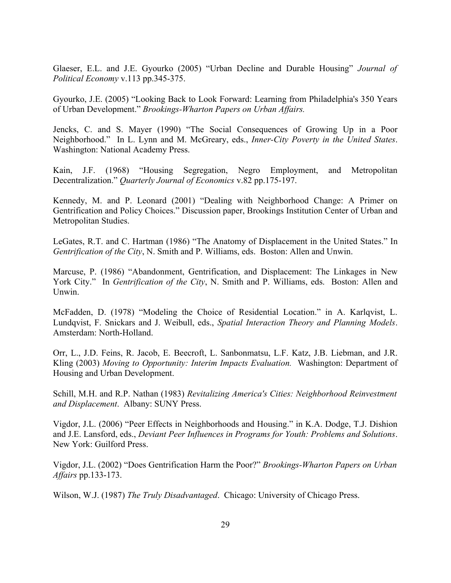Glaeser, E.L. and J.E. Gyourko (2005) "Urban Decline and Durable Housing" *Journal of Political Economy* v.113 pp.345-375.

Gyourko, J.E. (2005) "Looking Back to Look Forward: Learning from Philadelphia's 350 Years of Urban Development." *Brookings-Wharton Papers on Urban Affairs.*

Jencks, C. and S. Mayer (1990) "The Social Consequences of Growing Up in a Poor Neighborhood." In L. Lynn and M. McGreary, eds., *Inner-City Poverty in the United States*. Washington: National Academy Press.

Kain, J.F. (1968) "Housing Segregation, Negro Employment, and Metropolitan Decentralization." *Quarterly Journal of Economics* v.82 pp.175-197.

Kennedy, M. and P. Leonard (2001) "Dealing with Neighborhood Change: A Primer on Gentrification and Policy Choices." Discussion paper, Brookings Institution Center of Urban and Metropolitan Studies.

LeGates, R.T. and C. Hartman (1986) "The Anatomy of Displacement in the United States." In *Gentrification of the City*, N. Smith and P. Williams, eds. Boston: Allen and Unwin.

Marcuse, P. (1986) "Abandonment, Gentrification, and Displacement: The Linkages in New York City." In *Gentrification of the City*, N. Smith and P. Williams, eds. Boston: Allen and Unwin.

McFadden, D. (1978) "Modeling the Choice of Residential Location." in A. Karlqvist, L. Lundqvist, F. Snickars and J. Weibull, eds., *Spatial Interaction Theory and Planning Models*. Amsterdam: North-Holland.

Orr, L., J.D. Feins, R. Jacob, E. Beecroft, L. Sanbonmatsu, L.F. Katz, J.B. Liebman, and J.R. Kling (2003) *Moving to Opportunity: Interim Impacts Evaluation.* Washington: Department of Housing and Urban Development.

Schill, M.H. and R.P. Nathan (1983) *Revitalizing America's Cities: Neighborhood Reinvestment and Displacement*. Albany: SUNY Press.

Vigdor, J.L. (2006) "Peer Effects in Neighborhoods and Housing." in K.A. Dodge, T.J. Dishion and J.E. Lansford, eds., *Deviant Peer Influences in Programs for Youth: Problems and Solutions*. New York: Guilford Press.

Vigdor, J.L. (2002) "Does Gentrification Harm the Poor?" *Brookings-Wharton Papers on Urban Affairs* pp.133-173.

Wilson, W.J. (1987) *The Truly Disadvantaged*. Chicago: University of Chicago Press.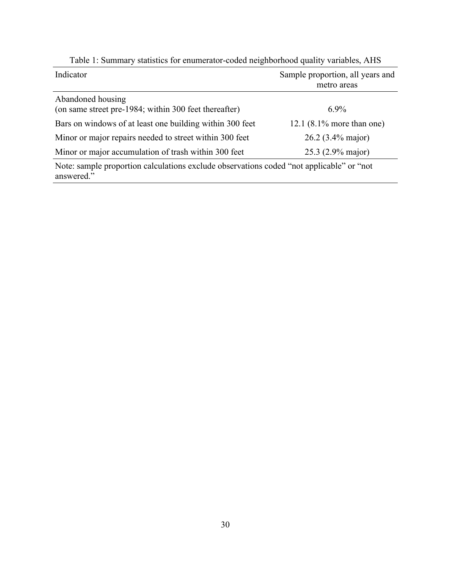| Indicator                                                                                              | Sample proportion, all years and<br>metro areas |
|--------------------------------------------------------------------------------------------------------|-------------------------------------------------|
| Abandoned housing<br>(on same street pre-1984; within 300 feet thereafter)                             | $6.9\%$                                         |
| Bars on windows of at least one building within 300 feet                                               | 12.1 $(8.1\%$ more than one)                    |
| Minor or major repairs needed to street within 300 feet                                                | 26.2 (3.4% major)                               |
| Minor or major accumulation of trash within 300 feet                                                   | 25.3 (2.9% major)                               |
| Note: sample proportion calculations exclude observations coded "not applicable" or "not<br>answered." |                                                 |

Table 1: Summary statistics for enumerator-coded neighborhood quality variables, AHS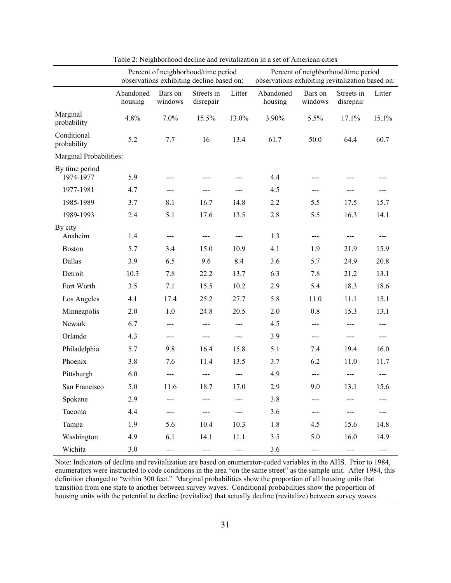|                             | Percent of neighborhood/time period<br>observations exhibiting decline based on: |                     |                           |        | Percent of neighborhood/time period<br>observations exhibiting revitalization based on: |                    |                         |                        |
|-----------------------------|----------------------------------------------------------------------------------|---------------------|---------------------------|--------|-----------------------------------------------------------------------------------------|--------------------|-------------------------|------------------------|
|                             | Abandoned<br>housing                                                             | Bars on<br>windows  | Streets in<br>disrepair   | Litter | Abandoned<br>housing                                                                    | Bars on<br>windows | Streets in<br>disrepair | Litter                 |
| Marginal<br>probability     | 4.8%                                                                             | 7.0%                | 15.5%                     | 13.0%  | 3.90%                                                                                   | 5.5%               | 17.1%                   | 15.1%                  |
| Conditional<br>probability  | 5.2                                                                              | 7.7                 | 16                        | 13.4   | 61.7                                                                                    | 50.0               | 64.4                    | 60.7                   |
| Marginal Probabilities:     |                                                                                  |                     |                           |        |                                                                                         |                    |                         |                        |
| By time period<br>1974-1977 | 5.9                                                                              | $---$               | $---$                     | $---$  | 4.4                                                                                     | ---                | $---$                   | $---$                  |
| 1977-1981                   | 4.7                                                                              | $\qquad \qquad - -$ | $---$                     | $---$  | 4.5                                                                                     | ---                | $\frac{1}{2}$           | $\frac{1}{2}$          |
| 1985-1989                   | 3.7                                                                              | 8.1                 | 16.7                      | 14.8   | 2.2                                                                                     | 5.5                | 17.5                    | 15.7                   |
| 1989-1993                   | 2.4                                                                              | 5.1                 | 17.6                      | 13.5   | 2.8                                                                                     | 5.5                | 16.3                    | 14.1                   |
| By city<br>Anaheim          | 1.4                                                                              | $---$               | $\qquad \qquad -\qquad -$ | $---$  | 1.3                                                                                     | $---$              | $---$                   | $\qquad \qquad \cdots$ |
| <b>Boston</b>               | 5.7                                                                              | 3.4                 | 15.0                      | 10.9   | 4.1                                                                                     | 1.9                | 21.9                    | 15.9                   |
| Dallas                      | 3.9                                                                              | 6.5                 | 9.6                       | 8.4    | 3.6                                                                                     | 5.7                | 24.9                    | 20.8                   |
| Detroit                     | 10.3                                                                             | 7.8                 | 22.2                      | 13.7   | 6.3                                                                                     | 7.8                | 21.2                    | 13.1                   |
| Fort Worth                  | 3.5                                                                              | 7.1                 | 15.5                      | 10.2   | 2.9                                                                                     | 5.4                | 18.3                    | 18.6                   |
| Los Angeles                 | 4.1                                                                              | 17.4                | 25.2                      | 27.7   | 5.8                                                                                     | 11.0               | 11.1                    | 15.1                   |
| Minneapolis                 | 2.0                                                                              | 1.0                 | 24.8                      | 20.5   | 2.0                                                                                     | 0.8                | 15.3                    | 13.1                   |
| Newark                      | 6.7                                                                              | $\frac{1}{2}$       | ---                       |        | 4.5                                                                                     | ---                | ---                     | ---                    |
| Orlando                     | 4.3                                                                              | $\qquad \qquad - -$ | $\sim$ $\sim$ $\sim$      | $---$  | 3.9                                                                                     | $\frac{1}{2}$      | $\frac{1}{2}$           | $\frac{1}{2}$          |
| Philadelphia                | 5.7                                                                              | 9.8                 | 16.4                      | 15.8   | 5.1                                                                                     | 7.4                | 19.4                    | 16.0                   |
| Phoenix                     | 3.8                                                                              | 7.6                 | 11.4                      | 13.5   | 3.7                                                                                     | 6.2                | 11.0                    | 11.7                   |
| Pittsburgh                  | 6.0                                                                              | $\overline{a}$      | $---$                     | $---$  | 4.9                                                                                     | ---                | $---$                   | $---$                  |
| San Francisco               | 5.0                                                                              | 11.6                | 18.7                      | 17.0   | 2.9                                                                                     | 9.0                | 13.1                    | 15.6                   |
| Spokane                     | 2.9                                                                              | ---                 |                           | ---    | 3.8                                                                                     | ---                |                         |                        |
| Tacoma                      | 4.4                                                                              | ---                 | ---                       |        | 3.6                                                                                     | ---                |                         |                        |
| Tampa                       | 1.9                                                                              | 5.6                 | 10.4                      | 10.3   | $1.8\,$                                                                                 | 4.5                | 15.6                    | 14.8                   |
| Washington                  | 4.9                                                                              | 6.1                 | 14.1                      | 11.1   | 3.5                                                                                     | 5.0                | 16.0                    | 14.9                   |
| Wichita                     | 3.0                                                                              | $---$               | $---$                     | ---    | 3.6                                                                                     | ---                | $---$                   | $---$                  |

Table 2: Neighborhood decline and revitalization in a set of American cities

Note: Indicators of decline and revitalization are based on enumerator-coded variables in the AHS. Prior to 1984, enumerators were instructed to code conditions in the area "on the same street" as the sample unit. After 1984, this definition changed to "within 300 feet." Marginal probabilities show the proportion of all housing units that transition from one state to another between survey waves. Conditional probabilities show the proportion of housing units with the potential to decline (revitalize) that actually decline (revitalize) between survey waves.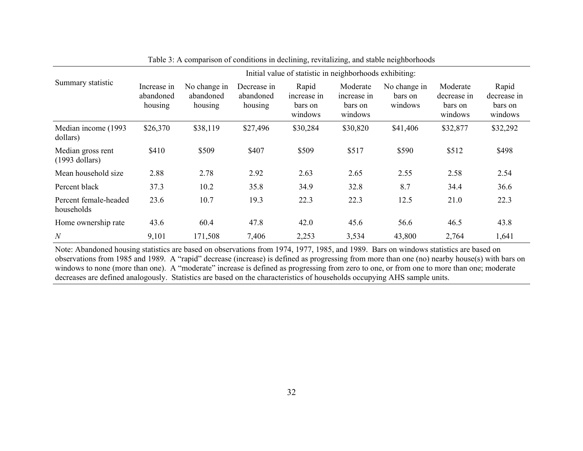|                                       | Initial value of statistic in neighborhoods exhibiting: |                                      |                                     |                                            |                                               |                                    |                                               |                                            |
|---------------------------------------|---------------------------------------------------------|--------------------------------------|-------------------------------------|--------------------------------------------|-----------------------------------------------|------------------------------------|-----------------------------------------------|--------------------------------------------|
| Summary statistic                     | Increase in<br>abandoned<br>housing                     | No change in<br>abandoned<br>housing | Decrease in<br>abandoned<br>housing | Rapid<br>increase in<br>bars on<br>windows | Moderate<br>increase in<br>bars on<br>windows | No change in<br>bars on<br>windows | Moderate<br>decrease in<br>bars on<br>windows | Rapid<br>decrease in<br>bars on<br>windows |
| Median income (1993)<br>dollars)      | \$26,370                                                | \$38,119                             | \$27,496                            | \$30,284                                   | \$30,820                                      | \$41,406                           | \$32,877                                      | \$32,292                                   |
| Median gross rent<br>$(1993$ dollars) | \$410                                                   | \$509                                | \$407                               | \$509                                      | \$517                                         | \$590                              | \$512                                         | \$498                                      |
| Mean household size                   | 2.88                                                    | 2.78                                 | 2.92                                | 2.63                                       | 2.65                                          | 2.55                               | 2.58                                          | 2.54                                       |
| Percent black                         | 37.3                                                    | 10.2                                 | 35.8                                | 34.9                                       | 32.8                                          | 8.7                                | 34.4                                          | 36.6                                       |
| Percent female-headed<br>households   | 23.6                                                    | 10.7                                 | 19.3                                | 22.3                                       | 22.3                                          | 12.5                               | 21.0                                          | 22.3                                       |
| Home ownership rate                   | 43.6                                                    | 60.4                                 | 47.8                                | 42.0                                       | 45.6                                          | 56.6                               | 46.5                                          | 43.8                                       |
| $\mathcal N$                          | 9,101                                                   | 171,508                              | 7,406                               | 2,253                                      | 3,534                                         | 43,800                             | 2,764                                         | 1,641                                      |

Table 3: A comparison of conditions in declining, revitalizing, and stable neighborhoods

Note: Abandoned housing statistics are based on observations from 1974, 1977, 1985, and 1989. Bars on windows statistics are based on observations from 1985 and 1989. A "rapid" decrease (increase) is defined as progressing from more than one (no) nearby house(s) with bars on windows to none (more than one). A "moderate" increase is defined as progressing from zero to one, or from one to more than one; moderate decreases are defined analogously. Statistics are based on the characteristics of households occupying AHS sample units.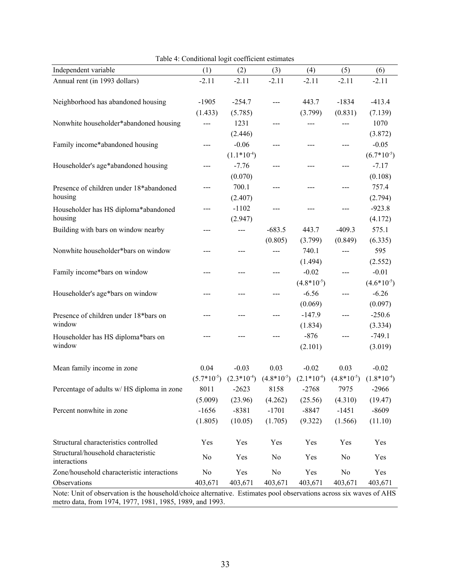| Independent variable                                                                                                                                                           | (1)             | (2)             | (3)            | (4)             | (5)            | (6)             |  |
|--------------------------------------------------------------------------------------------------------------------------------------------------------------------------------|-----------------|-----------------|----------------|-----------------|----------------|-----------------|--|
| Annual rent (in 1993 dollars)                                                                                                                                                  | $-2.11$         | $-2.11$         | $-2.11$        | $-2.11$         | $-2.11$        | $-2.11$         |  |
|                                                                                                                                                                                |                 |                 |                |                 |                |                 |  |
| Neighborhood has abandoned housing                                                                                                                                             | $-1905$         | $-254.7$        | ---            | 443.7           | $-1834$        | $-413.4$        |  |
|                                                                                                                                                                                | (1.433)         | (5.785)         |                | (3.799)         | (0.831)        | (7.139)         |  |
| Nonwhite householder*abandoned housing                                                                                                                                         |                 | 1231            | ---            |                 |                | 1070            |  |
|                                                                                                                                                                                |                 | (2.446)         |                |                 |                | (3.872)         |  |
| Family income*abandoned housing                                                                                                                                                | ---             | $-0.06$         | ---            | ---             | $---$          | $-0.05$         |  |
|                                                                                                                                                                                |                 | $(1.1*10^{-4})$ |                |                 |                | $(6.7*10^{-5})$ |  |
| Householder's age*abandoned housing                                                                                                                                            | ---             | $-7.76$         | ---            | ---             | ---            | $-7.17$         |  |
|                                                                                                                                                                                |                 | (0.070)         |                |                 |                | (0.108)         |  |
| Presence of children under 18*abandoned                                                                                                                                        |                 | 700.1           | $---$          | ---             |                | 757.4           |  |
| housing                                                                                                                                                                        |                 | (2.407)         |                |                 |                | (2.794)         |  |
| Householder has HS diploma*abandoned                                                                                                                                           | ---             | $-1102$         | ---            |                 | ---            | $-923.8$        |  |
| housing                                                                                                                                                                        |                 | (2.947)         |                |                 |                | (4.172)         |  |
| Building with bars on window nearby                                                                                                                                            | ---             | ---             | $-683.5$       | 443.7           | $-409.3$       | 575.1           |  |
|                                                                                                                                                                                |                 |                 | (0.805)        | (3.799)         | (0.849)        | (6.335)         |  |
| Nonwhite householder*bars on window                                                                                                                                            |                 |                 | $---$          | 740.1           | ---            | 595             |  |
|                                                                                                                                                                                |                 |                 |                | (1.494)         |                | (2.552)         |  |
| Family income*bars on window                                                                                                                                                   |                 |                 | ---            | $-0.02$         | ---            | $-0.01$         |  |
|                                                                                                                                                                                |                 |                 |                | $(4.8*10^{-5})$ |                | $(4.6*10^{-5})$ |  |
| Householder's age*bars on window                                                                                                                                               | ---             |                 | $---$          | $-6.56$         | $--$           | $-6.26$         |  |
|                                                                                                                                                                                |                 |                 |                | (0.069)         |                | (0.097)         |  |
| Presence of children under 18*bars on                                                                                                                                          |                 |                 | ---            | $-147.9$        | $---$          | $-250.6$        |  |
| window                                                                                                                                                                         |                 |                 |                | (1.834)         |                | (3.334)         |  |
| Householder has HS diploma*bars on                                                                                                                                             |                 |                 | ---            | $-876$          | ---            | $-749.1$        |  |
| window                                                                                                                                                                         |                 |                 |                | (2.101)         |                | (3.019)         |  |
| Mean family income in zone                                                                                                                                                     | 0.04            | $-0.03$         | 0.03           | $-0.02$         | 0.03           | $-0.02$         |  |
|                                                                                                                                                                                | $(5.7*10^{-5})$ | $(2.3*10^{-4})$ | $(4.8*10-5)$   | $(2.1*10^{-4})$ | $(4.8*10-5)$   | $(1.8*10-4)$    |  |
| Percentage of adults w/ HS diploma in zone                                                                                                                                     | 8011            | $-2623$         | 8158           | $-2768$         | 7975           | $-2966$         |  |
|                                                                                                                                                                                | (5.009)         | (23.96)         | (4.262)        | (25.56)         | (4.310)        | (19.47)         |  |
| Percent nonwhite in zone                                                                                                                                                       | $-1656$         | $-8381$         | $-1701$        | $-8847$         | $-1451$        | $-8609$         |  |
|                                                                                                                                                                                | (1.805)         | (10.05)         | (1.705)        | (9.322)         | (1.566)        | (11.10)         |  |
|                                                                                                                                                                                |                 |                 |                |                 |                |                 |  |
| Structural characteristics controlled                                                                                                                                          | Yes             | Yes             | Yes            | Yes             | Yes            | Yes             |  |
| Structural/household characteristic                                                                                                                                            | N <sub>0</sub>  | Yes             | N <sub>0</sub> | Yes             | N <sub>0</sub> | Yes             |  |
| interactions                                                                                                                                                                   |                 |                 |                |                 |                |                 |  |
| Zone/household characteristic interactions                                                                                                                                     | N <sub>0</sub>  | Yes             | No             | Yes             | N <sub>0</sub> | Yes             |  |
| Observations                                                                                                                                                                   | 403,671         | 403,671         | 403,671        | 403,671         | 403,671        | 403,671         |  |
| Note: Unit of observation is the household/choice alternative. Estimates pool observations across six waves of AHS<br>metro data, from 1974, 1977, 1981, 1985, 1989, and 1993. |                 |                 |                |                 |                |                 |  |

Table 4: Conditional logit coefficient estimates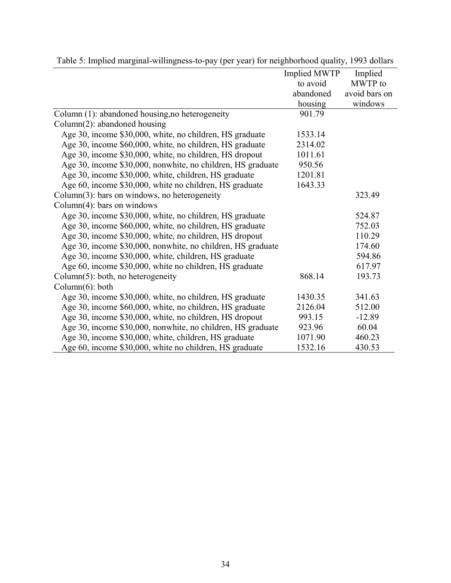|                                                             | <b>Implied MWTP</b> | Implied       |
|-------------------------------------------------------------|---------------------|---------------|
|                                                             | to avoid            | MWTP to       |
|                                                             | abandoned           | avoid bars on |
|                                                             | housing             | windows       |
| Column (1): abandoned housing, no heterogeneity             | 901.79              |               |
| Column $(2)$ : abandoned housing                            |                     |               |
| Age 30, income \$30,000, white, no children, HS graduate    | 1533.14             |               |
| Age 30, income \$60,000, white, no children, HS graduate    | 2314.02             |               |
| Age 30, income \$30,000, white, no children, HS dropout     | 1011.61             |               |
| Age 30, income \$30,000, nonwhite, no children, HS graduate | 950.56              |               |
| Age 30, income \$30,000, white, children, HS graduate       | 1201.81             |               |
| Age 60, income \$30,000, white no children, HS graduate     | 1643.33             |               |
| Column $(3)$ : bars on windows, no heterogeneity            |                     | 323.49        |
| Column $(4)$ : bars on windows                              |                     |               |
| Age 30, income \$30,000, white, no children, HS graduate    |                     | 524.87        |
| Age 30, income \$60,000, white, no children, HS graduate    |                     | 752.03        |
| Age 30, income \$30,000, white, no children, HS dropout     |                     | 110.29        |
| Age 30, income \$30,000, nonwhite, no children, HS graduate |                     | 174.60        |
| Age 30, income \$30,000, white, children, HS graduate       |                     | 594.86        |
| Age 60, income \$30,000, white no children, HS graduate     |                     | 617.97        |
| Column $(5)$ : both, no heterogeneity                       | 868.14              | 193.73        |
| Column $(6)$ : both                                         |                     |               |
| Age 30, income \$30,000, white, no children, HS graduate    | 1430.35             | 341.63        |
| Age 30, income \$60,000, white, no children, HS graduate    | 2126.04             | 512.00        |
| Age 30, income \$30,000, white, no children, HS dropout     | 993.15              | $-12.89$      |
| Age 30, income \$30,000, nonwhite, no children, HS graduate | 923.96              | 60.04         |
| Age 30, income \$30,000, white, children, HS graduate       | 1071.90             | 460.23        |
| Age 60, income \$30,000, white no children, HS graduate     | 1532.16             | 430.53        |

Table 5: Implied marginal-willingness-to-pay (per year) for neighborhood quality, 1993 dollars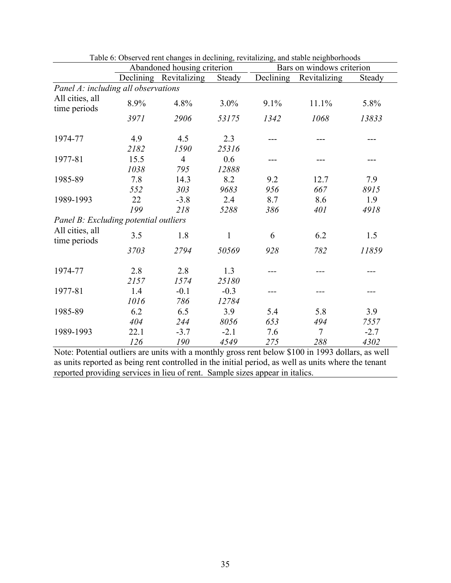|                                       |      | Abandoned housing criterion |         |           | Bars on windows criterion |        |  |  |
|---------------------------------------|------|-----------------------------|---------|-----------|---------------------------|--------|--|--|
|                                       |      | Declining Revitalizing      | Steady  | Declining | Revitalizing              | Steady |  |  |
| Panel A: including all observations   |      |                             |         |           |                           |        |  |  |
| All cities, all<br>time periods       | 8.9% | 4.8%                        | $3.0\%$ | 9.1%      | 11.1%                     | 5.8%   |  |  |
|                                       | 3971 | 2906                        | 53175   | 1342      | 1068                      | 13833  |  |  |
| 1974-77                               | 4.9  | 4.5                         | 2.3     |           |                           |        |  |  |
|                                       | 2182 | 1590                        | 25316   |           |                           |        |  |  |
| 1977-81                               | 15.5 | $\overline{4}$              | 0.6     |           |                           |        |  |  |
|                                       | 1038 | 795                         | 12888   |           |                           |        |  |  |
| 1985-89                               | 7.8  | 14.3                        | 8.2     | 9.2       | 12.7                      | 7.9    |  |  |
|                                       | 552  | 303                         | 9683    | 956       | 667                       | 8915   |  |  |
| 1989-1993                             | 22   | $-3.8$                      | 2.4     | 8.7       | 8.6                       | 1.9    |  |  |
|                                       | 199  | 218                         | 5288    | 386       | 401                       | 4918   |  |  |
| Panel B: Excluding potential outliers |      |                             |         |           |                           |        |  |  |
| All cities, all<br>time periods       | 3.5  | 1.8                         | 1       | 6         | 6.2                       | 1.5    |  |  |
|                                       | 3703 | 2794                        | 50569   | 928       | 782                       | 11859  |  |  |
| 1974-77                               | 2.8  | 2.8                         | 1.3     |           |                           |        |  |  |
|                                       | 2157 | 1574                        | 25180   |           |                           |        |  |  |
| 1977-81                               | 1.4  | $-0.1$                      | $-0.3$  |           |                           |        |  |  |
|                                       | 1016 | 786                         | 12784   |           |                           |        |  |  |
| 1985-89                               | 6.2  | 6.5                         | 3.9     | 5.4       | 5.8                       | 3.9    |  |  |
|                                       | 404  | 244                         | 8056    | 653       | 494                       | 7557   |  |  |
| 1989-1993                             | 22.1 | $-3.7$                      | $-2.1$  | 7.6       | $\overline{7}$            | $-2.7$ |  |  |
|                                       | 126  | 190                         | 4549    | 275       | 288                       | 4302   |  |  |

| Table 6: Observed rent changes in declining, revitalizing, and stable neighborhoods |  |  |  |
|-------------------------------------------------------------------------------------|--|--|--|
|                                                                                     |  |  |  |

Note: Potential outliers are units with a monthly gross rent below \$100 in 1993 dollars, as well as units reported as being rent controlled in the initial period, as well as units where the tenant reported providing services in lieu of rent. Sample sizes appear in italics.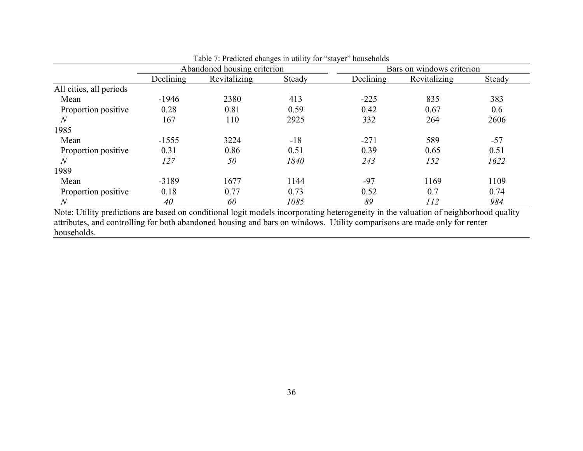|                         |           | Abandoned housing criterion |        |                  | Bars on windows criterion |        |  |  |
|-------------------------|-----------|-----------------------------|--------|------------------|---------------------------|--------|--|--|
|                         | Declining | Revitalizing                | Steady | <b>Declining</b> | Revitalizing              | Steady |  |  |
| All cities, all periods |           |                             |        |                  |                           |        |  |  |
| Mean                    | $-1946$   | 2380                        | 413    | $-225$           | 835                       | 383    |  |  |
| Proportion positive     | 0.28      | 0.81                        | 0.59   | 0.42             | 0.67                      | 0.6    |  |  |
| $\overline{N}$          | 167       | 110                         | 2925   | 332              | 264                       | 2606   |  |  |
| 1985                    |           |                             |        |                  |                           |        |  |  |
| Mean                    | $-1555$   | 3224                        | $-18$  | $-271$           | 589                       | $-57$  |  |  |
| Proportion positive     | 0.31      | 0.86                        | 0.51   | 0.39             | 0.65                      | 0.51   |  |  |
| N                       | 127       | 50                          | 1840   | 243              | 152                       | 1622   |  |  |
| 1989                    |           |                             |        |                  |                           |        |  |  |
| Mean                    | $-3189$   | 1677                        | 1144   | $-97$            | 1169                      | 1109   |  |  |
| Proportion positive     | 0.18      | 0.77                        | 0.73   | 0.52             | 0.7                       | 0.74   |  |  |
| $\overline{N}$          | 40        | 60                          | 1085   | 89               | 112                       | 984    |  |  |

Table 7: Predicted changes in utility for "stayer" households

Note: Utility predictions are based on conditional logit models incorporating heterogeneity in the valuation of neighborhood quality attributes, and controlling for both abandoned housing and bars on windows. Utility comparisons are made only for renter households.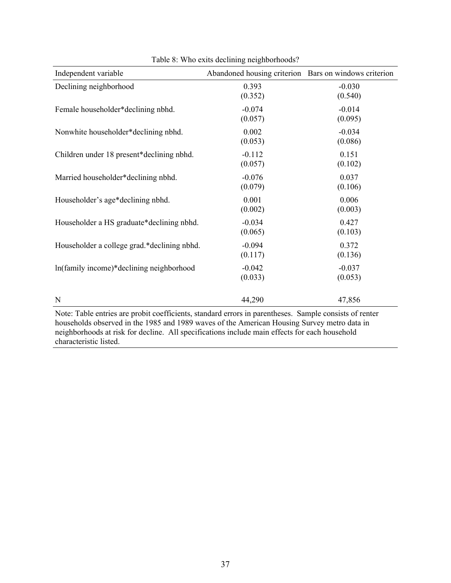| Independent variable                        | Abandoned housing criterion Bars on windows criterion |                     |
|---------------------------------------------|-------------------------------------------------------|---------------------|
| Declining neighborhood                      | 0.393<br>(0.352)                                      | $-0.030$<br>(0.540) |
| Female householder*declining nbhd.          | $-0.074$<br>(0.057)                                   | $-0.014$<br>(0.095) |
| Nonwhite householder*declining nbhd.        | 0.002<br>(0.053)                                      | $-0.034$<br>(0.086) |
| Children under 18 present*declining nbhd.   | $-0.112$<br>(0.057)                                   | 0.151<br>(0.102)    |
| Married householder*declining nbhd.         | $-0.076$<br>(0.079)                                   | 0.037<br>(0.106)    |
| Householder's age*declining nbhd.           | 0.001<br>(0.002)                                      | 0.006<br>(0.003)    |
| Householder a HS graduate*declining nbhd.   | $-0.034$<br>(0.065)                                   | 0.427<br>(0.103)    |
| Householder a college grad.*declining nbhd. | $-0.094$<br>(0.117)                                   | 0.372<br>(0.136)    |
| In(family income)*declining neighborhood    | $-0.042$<br>(0.033)                                   | $-0.037$<br>(0.053) |
| N<br><b>Service</b> Control<br>$\alpha x$ . | 44,290                                                | 47,856              |

Table 8: Who exits declining neighborhoods?

Note: Table entries are probit coefficients, standard errors in parentheses. Sample consists of renter households observed in the 1985 and 1989 waves of the American Housing Survey metro data in neighborhoods at risk for decline. All specifications include main effects for each household characteristic listed.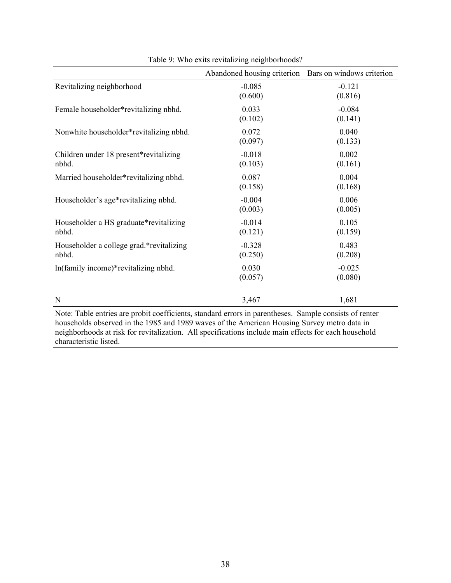|                                                                                                                                                                                                                                                                                                                                       | Abandoned housing criterion Bars on windows criterion |                     |
|---------------------------------------------------------------------------------------------------------------------------------------------------------------------------------------------------------------------------------------------------------------------------------------------------------------------------------------|-------------------------------------------------------|---------------------|
| Revitalizing neighborhood                                                                                                                                                                                                                                                                                                             | $-0.085$<br>(0.600)                                   | $-0.121$<br>(0.816) |
| Female householder*revitalizing nbhd.                                                                                                                                                                                                                                                                                                 | 0.033<br>(0.102)                                      | $-0.084$<br>(0.141) |
| Nonwhite householder*revitalizing nbhd.                                                                                                                                                                                                                                                                                               | 0.072<br>(0.097)                                      | 0.040<br>(0.133)    |
| Children under 18 present*revitalizing<br>nbhd.                                                                                                                                                                                                                                                                                       | $-0.018$<br>(0.103)                                   | 0.002<br>(0.161)    |
| Married householder*revitalizing nbhd.                                                                                                                                                                                                                                                                                                | 0.087<br>(0.158)                                      | 0.004<br>(0.168)    |
| Householder's age*revitalizing nbhd.                                                                                                                                                                                                                                                                                                  | $-0.004$<br>(0.003)                                   | 0.006<br>(0.005)    |
| Householder a HS graduate*revitalizing<br>nbhd.                                                                                                                                                                                                                                                                                       | $-0.014$<br>(0.121)                                   | 0.105<br>(0.159)    |
| Householder a college grad.*revitalizing<br>nbhd.                                                                                                                                                                                                                                                                                     | $-0.328$<br>(0.250)                                   | 0.483<br>(0.208)    |
| ln(family income)*revitalizing nbhd.                                                                                                                                                                                                                                                                                                  | 0.030<br>(0.057)                                      | $-0.025$<br>(0.080) |
| N<br>$-1.2$ $-0.02$ $-1.2$ $-1.1$<br>$\mathbf{v}$ and $\mathbf{v}$ and $\mathbf{v}$ and $\mathbf{v}$ and $\mathbf{v}$ and $\mathbf{v}$ and $\mathbf{v}$ and $\mathbf{v}$ and $\mathbf{v}$ and $\mathbf{v}$ and $\mathbf{v}$ and $\mathbf{v}$ and $\mathbf{v}$ and $\mathbf{v}$ and $\mathbf{v}$ and $\mathbf{v}$ and $\mathbf{v}$ and | 3,467                                                 | 1,681               |

Table 9: Who exits revitalizing neighborhoods?

Note: Table entries are probit coefficients, standard errors in parentheses. Sample consists of renter households observed in the 1985 and 1989 waves of the American Housing Survey metro data in neighborhoods at risk for revitalization. All specifications include main effects for each household characteristic listed.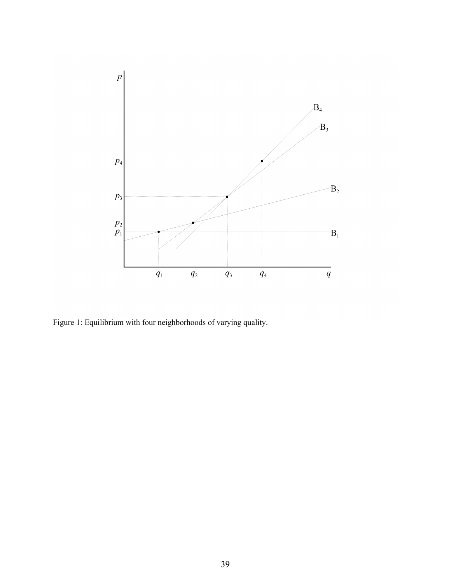

Figure 1: Equilibrium with four neighborhoods of varying quality.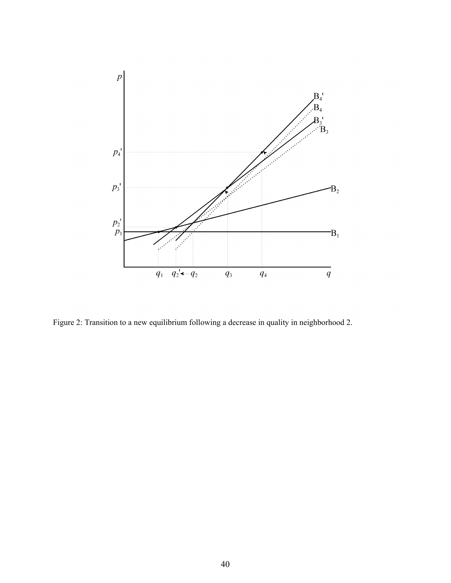

Figure 2: Transition to a new equilibrium following a decrease in quality in neighborhood 2.